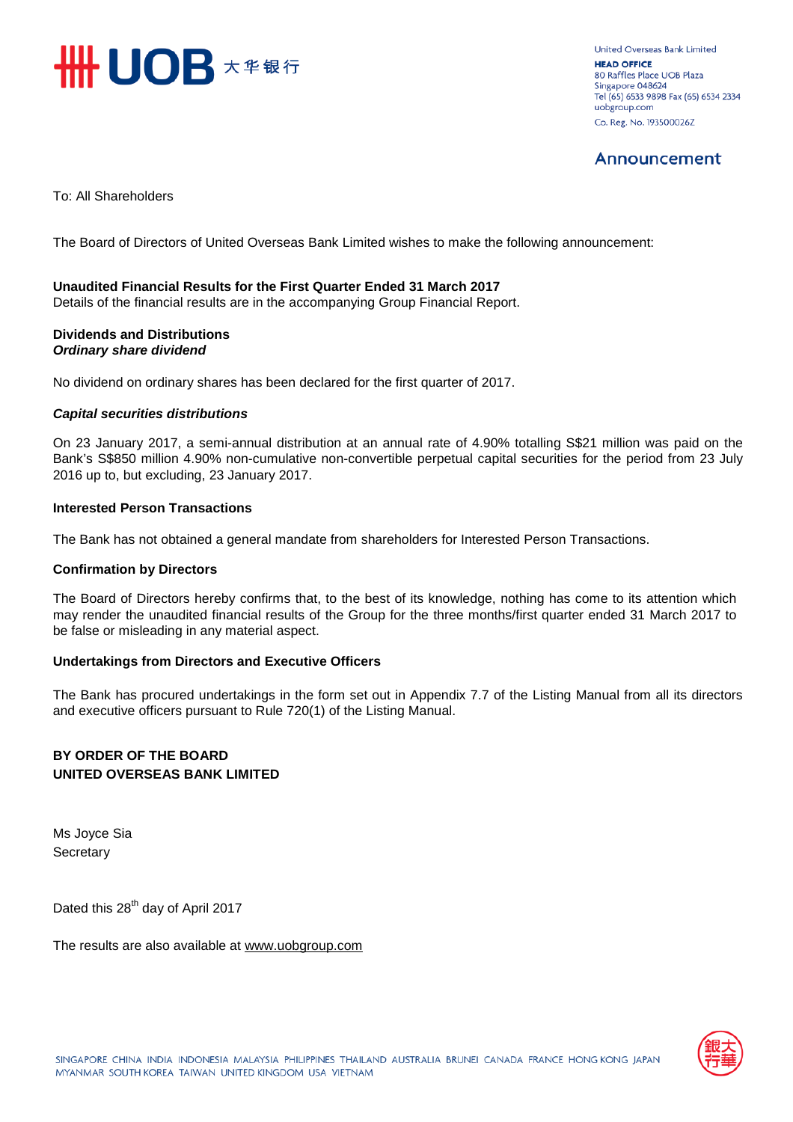

United Overseas Bank Limited **HEAD OFFICE** 80 Raffles Place UOB Plaza Singapore 048624 Tel (65) 6533 9898 Fax (65) 6534 2334 uobgroup.com Co. Reg. No. 193500026Z

## Announcement

To: All Shareholders

The Board of Directors of United Overseas Bank Limited wishes to make the following announcement:

### **Unaudited Financial Results for the First Quarter Ended 31 March 2017**

Details of the financial results are in the accompanying Group Financial Report.

### **Dividends and Distributions** *Ordinary share dividend*

No dividend on ordinary shares has been declared for the first quarter of 2017.

### *Capital securities distributions*

On 23 January 2017, a semi-annual distribution at an annual rate of 4.90% totalling S\$21 million was paid on the Bank's S\$850 million 4.90% non-cumulative non-convertible perpetual capital securities for the period from 23 July 2016 up to, but excluding, 23 January 2017.

### **Interested Person Transactions**

The Bank has not obtained a general mandate from shareholders for Interested Person Transactions.

### **Confirmation by Directors**

The Board of Directors hereby confirms that, to the best of its knowledge, nothing has come to its attention which may render the unaudited financial results of the Group for the three months/first quarter ended 31 March 2017 to be false or misleading in any material aspect.

### **Undertakings from Directors and Executive Officers**

The Bank has procured undertakings in the form set out in Appendix 7.7 of the Listing Manual from all its directors and executive officers pursuant to Rule 720(1) of the Listing Manual.

### **BY ORDER OF THE BOARD UNITED OVERSEAS BANK LIMITED**

Ms Joyce Sia **Secretary** 

Dated this 28<sup>th</sup> day of April 2017

The results are also available at www.uob[group.com](http://www.uobgroup.com/)

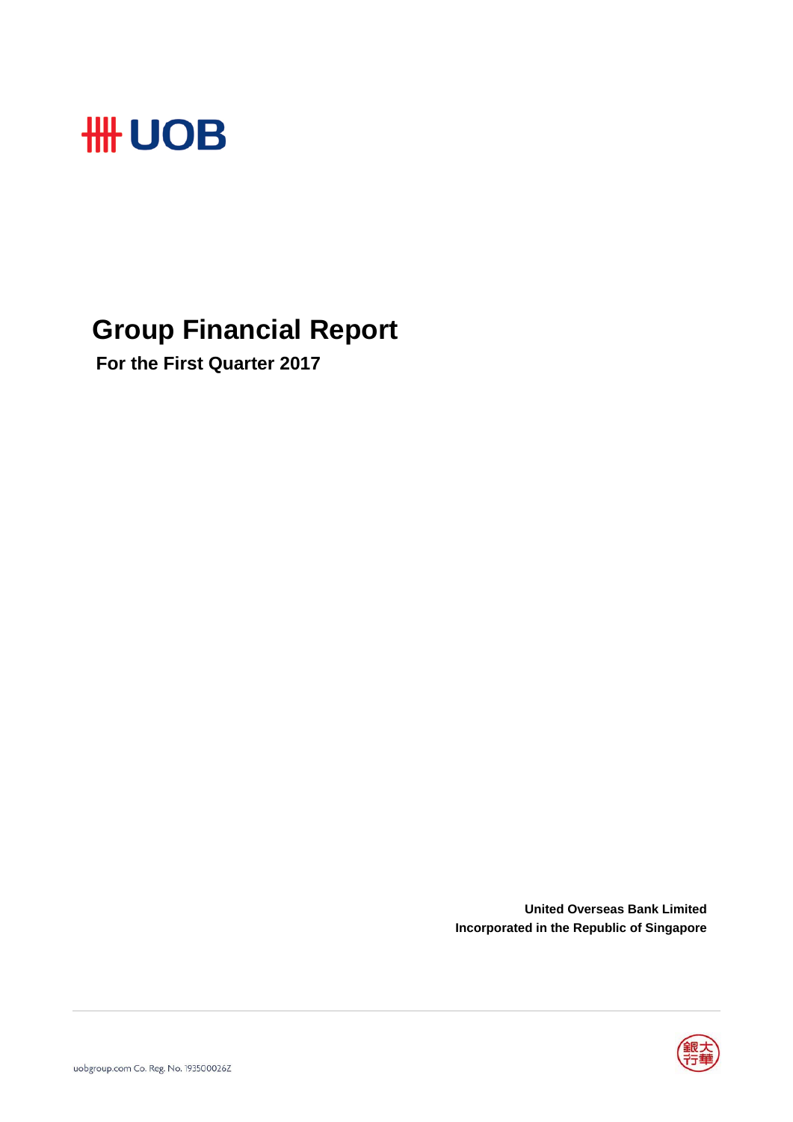

# **Group Financial Report**

 **For the First Quarter 2017**

**United Overseas Bank Limited Incorporated in the Republic of Singapore**

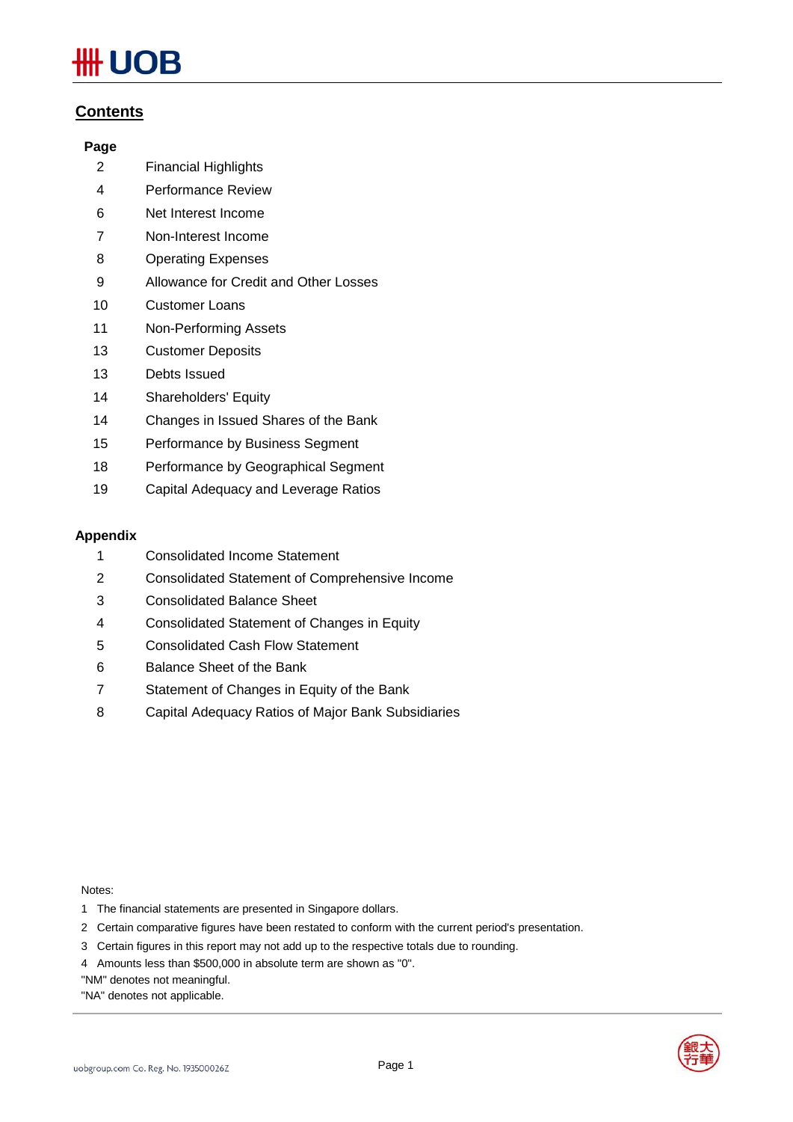# **JOB**

### **Contents**

### **Page**

- Financial Highlights
- Performance Review
- Net Interest Income
- Non-Interest Income
- Operating Expenses
- Allowance for Credit and Other Losses
- Customer Loans
- Non-Performing Assets
- Customer Deposits
- Debts Issued
- Shareholders' Equity
- Changes in Issued Shares of the Bank
- Performance by Business Segment
- Performance by Geographical Segment
- Capital Adequacy and Leverage Ratios

### **Appendix**

- Consolidated Income Statement
- Consolidated Statement of Comprehensive Income
- Consolidated Balance Sheet
- Consolidated Statement of Changes in Equity
- Consolidated Cash Flow Statement
- Balance Sheet of the Bank
- Statement of Changes in Equity of the Bank
- Capital Adequacy Ratios of Major Bank Subsidiaries

Notes:

- 1 The financial statements are presented in Singapore dollars.
- 2 Certain comparative figures have been restated to conform with the current period's presentation.
- 3 Certain figures in this report may not add up to the respective totals due to rounding.
- 4 Amounts less than \$500,000 in absolute term are shown as "0".
- "NM" denotes not meaningful.
- "NA" denotes not applicable.



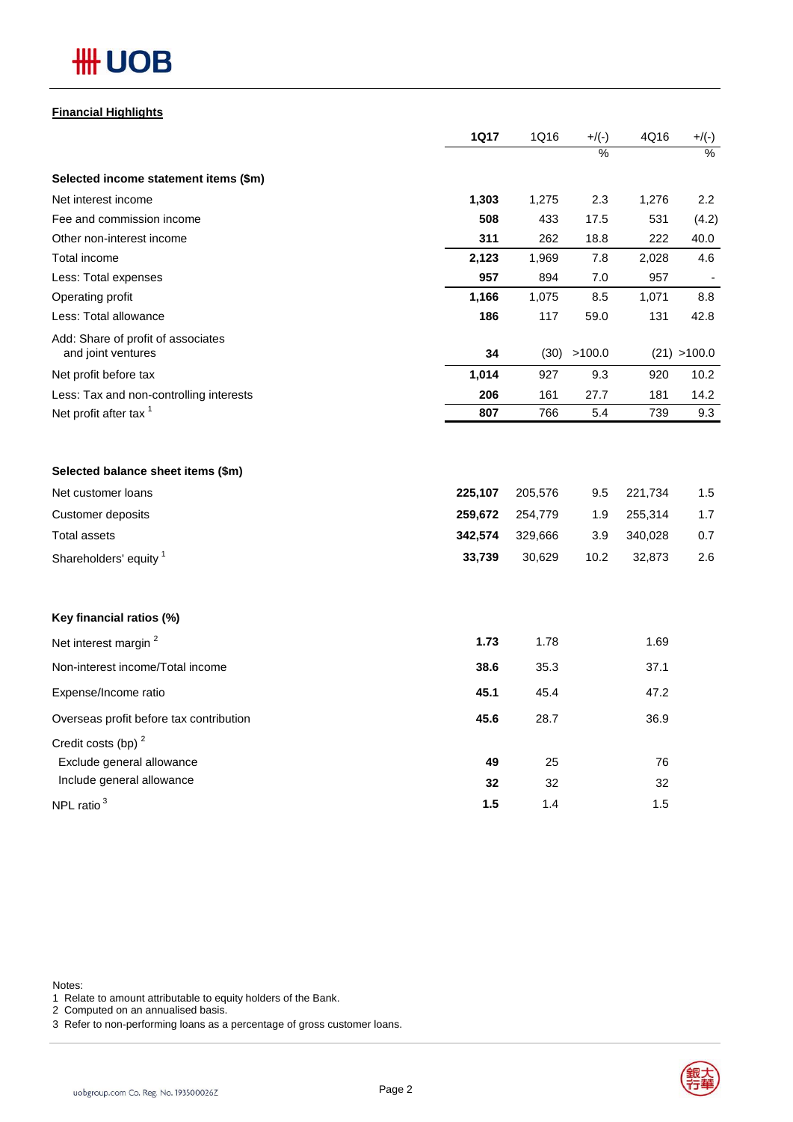# **HH UOB**

### **Financial Highlights**

|                                                                                                                                | <b>1Q17</b>                             | 1Q16                                    | $+/(-)$                   | 4Q16                                    | $+/(-)$                  |
|--------------------------------------------------------------------------------------------------------------------------------|-----------------------------------------|-----------------------------------------|---------------------------|-----------------------------------------|--------------------------|
|                                                                                                                                |                                         |                                         | $\frac{9}{6}$             |                                         | $\frac{1}{2}$            |
| Selected income statement items (\$m)                                                                                          |                                         |                                         |                           |                                         |                          |
| Net interest income                                                                                                            | 1,303                                   | 1,275                                   | 2.3                       | 1,276                                   | 2.2                      |
| Fee and commission income                                                                                                      | 508                                     | 433                                     | 17.5                      | 531                                     | (4.2)                    |
| Other non-interest income                                                                                                      | 311                                     | 262                                     | 18.8                      | 222                                     | 40.0                     |
| Total income                                                                                                                   | 2,123                                   | 1,969                                   | 7.8                       | 2,028                                   | 4.6                      |
| Less: Total expenses                                                                                                           | 957                                     | 894                                     | 7.0                       | 957                                     |                          |
| Operating profit                                                                                                               | 1,166                                   | 1,075                                   | 8.5                       | 1,071                                   | 8.8                      |
| Less: Total allowance                                                                                                          | 186                                     | 117                                     | 59.0                      | 131                                     | 42.8                     |
| Add: Share of profit of associates<br>and joint ventures                                                                       | 34                                      | (30)                                    | >100.0                    |                                         | (21) > 100.0             |
| Net profit before tax                                                                                                          | 1,014                                   | 927                                     | 9.3                       | 920                                     | 10.2                     |
| Less: Tax and non-controlling interests                                                                                        | 206                                     | 161                                     | 27.7                      | 181                                     | 14.2                     |
| Net profit after tax <sup>1</sup>                                                                                              | 807                                     | 766                                     | 5.4                       | 739                                     | 9.3                      |
| Selected balance sheet items (\$m)<br>Net customer loans<br><b>Customer deposits</b><br>Total assets<br>Shareholders' equity 1 | 225,107<br>259,672<br>342,574<br>33,739 | 205,576<br>254,779<br>329,666<br>30,629 | 9.5<br>1.9<br>3.9<br>10.2 | 221,734<br>255,314<br>340,028<br>32,873 | 1.5<br>1.7<br>0.7<br>2.6 |
| Key financial ratios (%)                                                                                                       |                                         |                                         |                           |                                         |                          |
| Net interest margin <sup>2</sup>                                                                                               | 1.73                                    | 1.78                                    |                           | 1.69                                    |                          |
| Non-interest income/Total income                                                                                               | 38.6                                    | 35.3                                    |                           | 37.1                                    |                          |
| Expense/Income ratio                                                                                                           | 45.1                                    | 45.4                                    |                           | 47.2                                    |                          |
| Overseas profit before tax contribution                                                                                        | 45.6                                    | 28.7                                    |                           | 36.9                                    |                          |
| Credit costs (bp) <sup>2</sup><br>Exclude general allowance<br>Include general allowance                                       | 49<br>32                                | 25<br>32                                |                           | 76<br>32                                |                          |
| NPL ratio <sup>3</sup>                                                                                                         | 1.5                                     | 1.4                                     |                           | 1.5                                     |                          |

Notes:

1 Relate to amount attributable to equity holders of the Bank.

2 Computed on an annualised basis.

3 Refer to non-performing loans as a percentage of gross customer loans.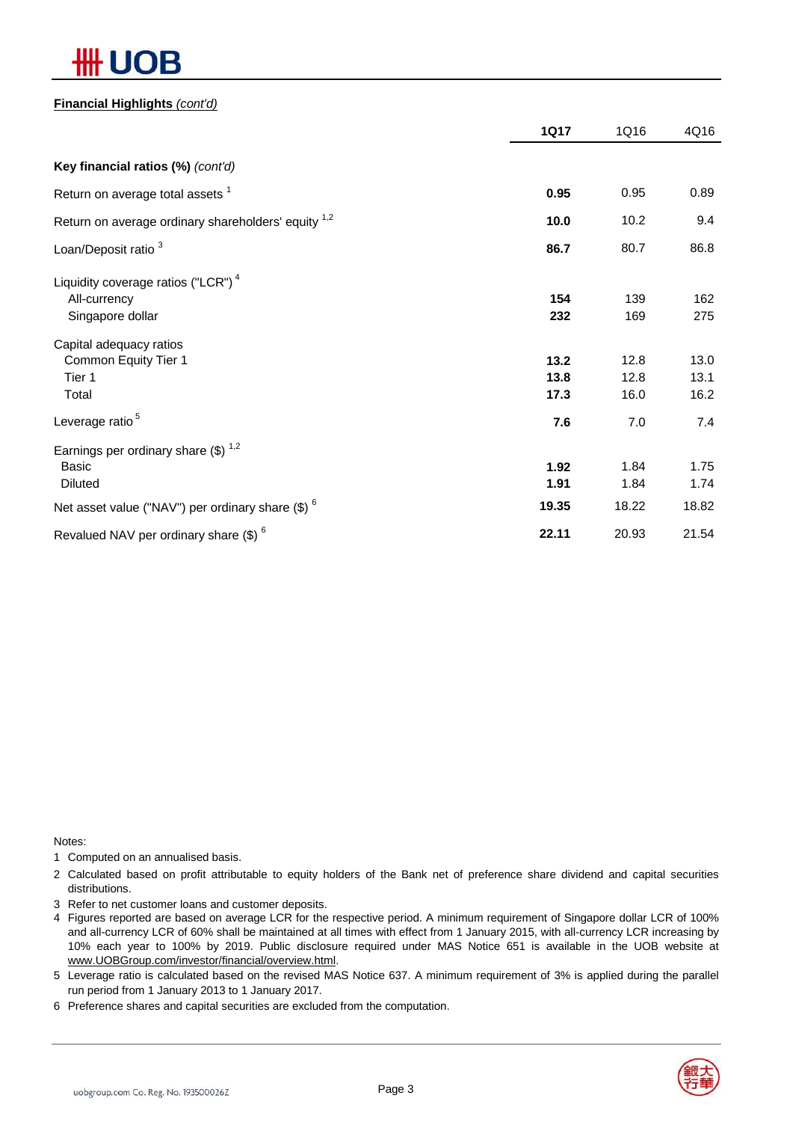# 13

### **Financial Highlights** *(cont'd)*

|                                                                                                                                               | <b>1Q17</b>           | 1Q16                  | 4Q16                  |
|-----------------------------------------------------------------------------------------------------------------------------------------------|-----------------------|-----------------------|-----------------------|
| Key financial ratios (%) (cont'd)                                                                                                             |                       |                       |                       |
| Return on average total assets <sup>1</sup>                                                                                                   | 0.95                  | 0.95                  | 0.89                  |
| Return on average ordinary shareholders' equity 1,2                                                                                           | 10.0                  | 10.2                  | 9.4                   |
| Loan/Deposit ratio <sup>3</sup>                                                                                                               | 86.7                  | 80.7                  | 86.8                  |
| Liquidity coverage ratios ("LCR") <sup>4</sup><br>All-currency<br>Singapore dollar                                                            | 154<br>232            | 139<br>169            | 162<br>275            |
| Capital adequacy ratios<br>Common Equity Tier 1<br>Tier 1<br>Total                                                                            | 13.2<br>13.8<br>17.3  | 12.8<br>12.8<br>16.0  | 13.0<br>13.1<br>16.2  |
| Leverage ratio <sup>5</sup>                                                                                                                   | 7.6                   | 7.0                   | 7.4                   |
| Earnings per ordinary share $(\$)$ <sup>1,2</sup><br><b>Basic</b><br><b>Diluted</b><br>Net asset value ("NAV") per ordinary share $(\$)$ $^6$ | 1.92<br>1.91<br>19.35 | 1.84<br>1.84<br>18.22 | 1.75<br>1.74<br>18.82 |
| Revalued NAV per ordinary share (\$) <sup>6</sup>                                                                                             | 22.11                 | 20.93                 | 21.54                 |

Notes:

1 Computed on an annualised basis.

2 Calculated based on profit attributable to equity holders of the Bank net of preference share dividend and capital securities distributions.

3 Refer to net customer loans and customer deposits.

4 Figures reported are based on average LCR for the respective period. A minimum requirement of Singapore dollar LCR of 100% and all-currency LCR of 60% shall be maintained at all times with effect from 1 January 2015, with all-currency LCR increasing by 10% each year to 100% by 2019. Public disclosure required under MAS Notice 651 is available in the UOB website at www.UOBGroup.com/investor/financial/overview.html.

5 Leverage ratio is calculated based on the revised MAS Notice 637. A minimum requirement of 3% is applied during the parallel run period from 1 January 2013 to 1 January 2017.

6 Preference shares and capital securities are excluded from the computation.

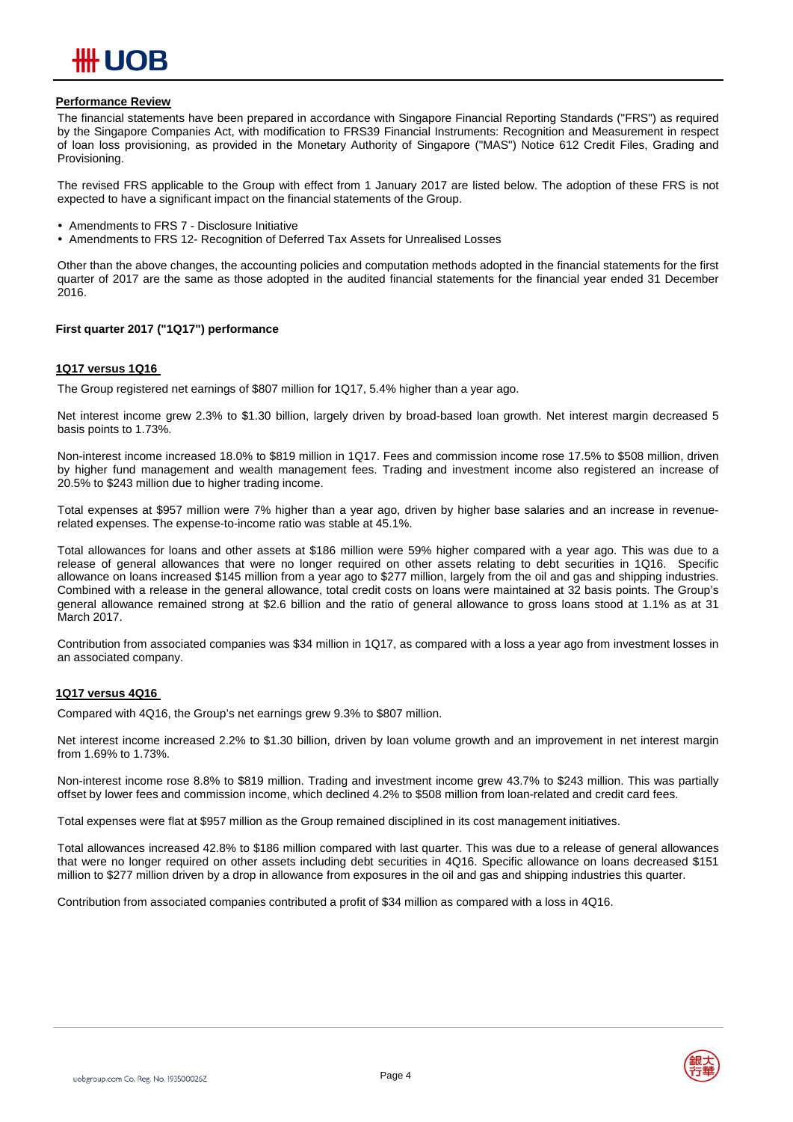

### **Performance Review**

The financial statements have been prepared in accordance with Singapore Financial Reporting Standards ("FRS") as required by the Singapore Companies Act, with modification to FRS39 Financial Instruments: Recognition and Measurement in respect of loan loss provisioning, as provided in the Monetary Authority of Singapore ("MAS") Notice 612 Credit Files, Grading and Provisioning.

The revised FRS applicable to the Group with effect from 1 January 2017 are listed below. The adoption of these FRS is not expected to have a significant impact on the financial statements of the Group.

- Amendments to FRS 7 Disclosure Initiative
- Amendments to FRS 12- Recognition of Deferred Tax Assets for Unrealised Losses

Other than the above changes, the accounting policies and computation methods adopted in the financial statements for the first quarter of 2017 are the same as those adopted in the audited financial statements for the financial year ended 31 December 2016.

### **First quarter 2017 ("1Q17") performance**

#### **1Q17 versus 1Q16**

The Group registered net earnings of \$807 million for 1Q17, 5.4% higher than a year ago.

Net interest income grew 2.3% to \$1.30 billion, largely driven by broad-based loan growth. Net interest margin decreased 5 basis points to 1.73%.

Non-interest income increased 18.0% to \$819 million in 1Q17. Fees and commission income rose 17.5% to \$508 million, driven by higher fund management and wealth management fees. Trading and investment income also registered an increase of 20.5% to \$243 million due to higher trading income.

Total expenses at \$957 million were 7% higher than a year ago, driven by higher base salaries and an increase in revenuerelated expenses. The expense-to-income ratio was stable at 45.1%.

Total allowances for loans and other assets at \$186 million were 59% higher compared with a year ago. This was due to a release of general allowances that were no longer required on other assets relating to debt securities in 1Q16. Specific allowance on loans increased \$145 million from a year ago to \$277 million, largely from the oil and gas and shipping industries. Combined with a release in the general allowance, total credit costs on loans were maintained at 32 basis points. The Group's general allowance remained strong at \$2.6 billion and the ratio of general allowance to gross loans stood at 1.1% as at 31 March 2017.

Contribution from associated companies was \$34 million in 1Q17, as compared with a loss a year ago from investment losses in an associated company.

### **1Q17 versus 4Q16**

Compared with 4Q16, the Group's net earnings grew 9.3% to \$807 million.

Net interest income increased 2.2% to \$1.30 billion, driven by loan volume growth and an improvement in net interest margin from 1.69% to 1.73%.

Non-interest income rose 8.8% to \$819 million. Trading and investment income grew 43.7% to \$243 million. This was partially offset by lower fees and commission income, which declined 4.2% to \$508 million from loan-related and credit card fees.

Total expenses were flat at \$957 million as the Group remained disciplined in its cost management initiatives.

Total allowances increased 42.8% to \$186 million compared with last quarter. This was due to a release of general allowances that were no longer required on other assets including debt securities in 4Q16. Specific allowance on loans decreased \$151 million to \$277 million driven by a drop in allowance from exposures in the oil and gas and shipping industries this quarter.

Contribution from associated companies contributed a profit of \$34 million as compared with a loss in 4Q16.

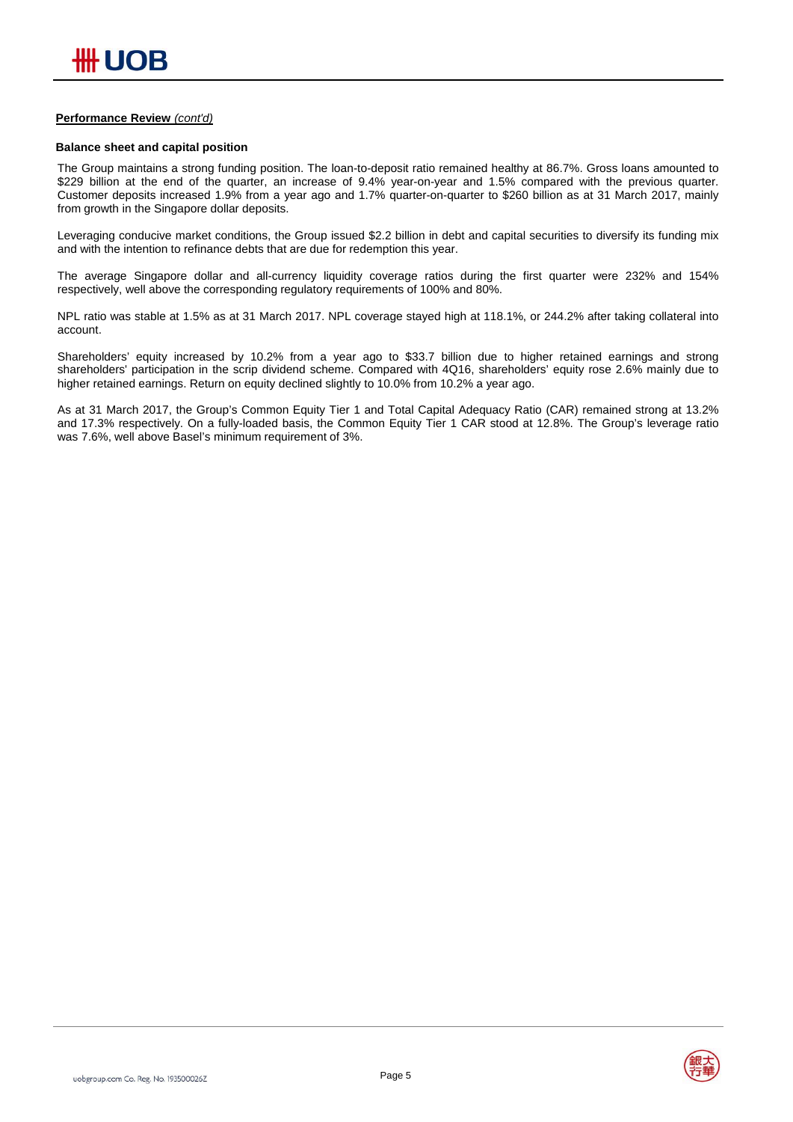### **Performance Review** *(cont'd)*

#### **Balance sheet and capital position**

The Group maintains a strong funding position. The loan-to-deposit ratio remained healthy at 86.7%. Gross loans amounted to \$229 billion at the end of the quarter, an increase of 9.4% year-on-year and 1.5% compared with the previous quarter. Customer deposits increased 1.9% from a year ago and 1.7% quarter-on-quarter to \$260 billion as at 31 March 2017, mainly from growth in the Singapore dollar deposits.

Leveraging conducive market conditions, the Group issued \$2.2 billion in debt and capital securities to diversify its funding mix and with the intention to refinance debts that are due for redemption this year.

The average Singapore dollar and all-currency liquidity coverage ratios during the first quarter were 232% and 154% respectively, well above the corresponding regulatory requirements of 100% and 80%.

NPL ratio was stable at 1.5% as at 31 March 2017. NPL coverage stayed high at 118.1%, or 244.2% after taking collateral into account.

Shareholders' equity increased by 10.2% from a year ago to \$33.7 billion due to higher retained earnings and strong shareholders' participation in the scrip dividend scheme. Compared with 4Q16, shareholders' equity rose 2.6% mainly due to higher retained earnings. Return on equity declined slightly to 10.0% from 10.2% a year ago.

As at 31 March 2017, the Group's Common Equity Tier 1 and Total Capital Adequacy Ratio (CAR) remained strong at 13.2% and 17.3% respectively. On a fully-loaded basis, the Common Equity Tier 1 CAR stood at 12.8%. The Group's leverage ratio was 7.6%, well above Basel's minimum requirement of 3%.

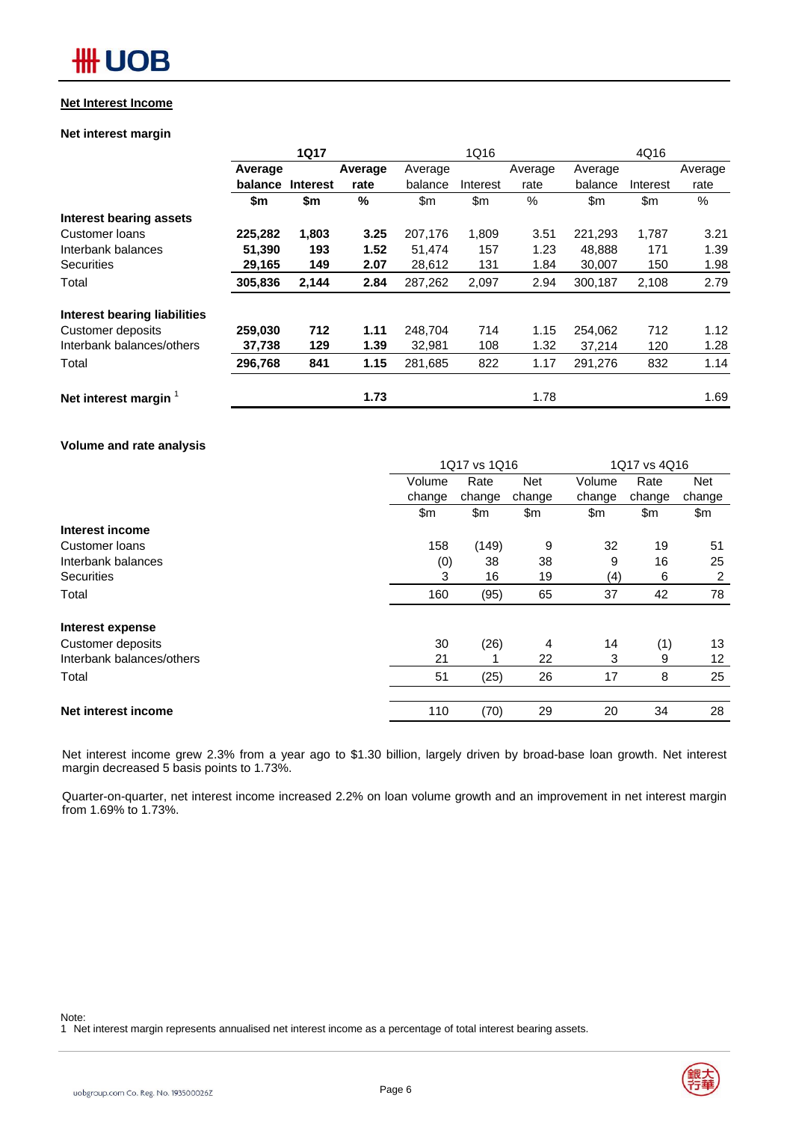### **Net Interest Income**

### **Net interest margin**

|                                     |         | <b>1Q17</b>     |               |         | 1Q16     |         |         | 4Q16     |         |
|-------------------------------------|---------|-----------------|---------------|---------|----------|---------|---------|----------|---------|
|                                     | Average |                 | Average       | Average |          | Average | Average |          | Average |
|                                     | balance | <b>Interest</b> | rate          | balance | Interest | rate    | balance | Interest | rate    |
|                                     | \$m     | \$m             | $\frac{0}{0}$ | \$m     | \$m\$    | %       | \$m     | \$m      | $\%$    |
| <b>Interest bearing assets</b>      |         |                 |               |         |          |         |         |          |         |
| Customer loans                      | 225,282 | 1,803           | 3.25          | 207,176 | 1,809    | 3.51    | 221,293 | 1,787    | 3.21    |
| Interbank balances                  | 51,390  | 193             | 1.52          | 51,474  | 157      | 1.23    | 48,888  | 171      | 1.39    |
| <b>Securities</b>                   | 29,165  | 149             | 2.07          | 28,612  | 131      | 1.84    | 30,007  | 150      | 1.98    |
| Total                               | 305,836 | 2,144           | 2.84          | 287,262 | 2,097    | 2.94    | 300,187 | 2,108    | 2.79    |
| <b>Interest bearing liabilities</b> |         |                 |               |         |          |         |         |          |         |
| Customer deposits                   | 259,030 | 712             | 1.11          | 248,704 | 714      | 1.15    | 254,062 | 712      | 1.12    |
| Interbank balances/others           | 37,738  | 129             | 1.39          | 32,981  | 108      | 1.32    | 37,214  | 120      | 1.28    |
| Total                               | 296,768 | 841             | 1.15          | 281,685 | 822      | 1.17    | 291,276 | 832      | 1.14    |
| Net interest margin <sup>1</sup>    |         |                 | 1.73          |         |          | 1.78    |         |          | 1.69    |

### **Volume and rate analysis**

|                           |        | 1Q17 vs 1Q16 |            |        | 1Q17 vs 4Q16 |                 |  |  |
|---------------------------|--------|--------------|------------|--------|--------------|-----------------|--|--|
|                           | Volume | Rate         | <b>Net</b> | Volume | Rate         | <b>Net</b>      |  |  |
|                           | change | change       | change     | change | change       | change          |  |  |
|                           | \$m    | \$m          | \$m        | \$m    | \$m          | \$m             |  |  |
| Interest income           |        |              |            |        |              |                 |  |  |
| Customer loans            | 158    | (149)        | 9          | 32     | 19           | 51              |  |  |
| Interbank balances        | (0)    | 38           | 38         | 9      | 16           | 25              |  |  |
| <b>Securities</b>         | 3      | 16           | 19         | (4)    | 6            | 2               |  |  |
| Total                     | 160    | (95)         | 65         | 37     | 42           | 78              |  |  |
| Interest expense          |        |              |            |        |              |                 |  |  |
| Customer deposits         | 30     | (26)         | 4          | 14     | (1)          | 13              |  |  |
| Interbank balances/others | 21     |              | 22         | 3      | 9            | 12 <sup>°</sup> |  |  |
| Total                     | 51     | (25)         | 26         | 17     | 8            | 25              |  |  |
|                           |        |              |            |        |              |                 |  |  |
| Net interest income       | 110    | (70)         | 29         | 20     | 34           | 28              |  |  |

Net interest income grew 2.3% from a year ago to \$1.30 billion, largely driven by broad-base loan growth. Net interest margin decreased 5 basis points to 1.73%.

Quarter-on-quarter, net interest income increased 2.2% on loan volume growth and an improvement in net interest margin from 1.69% to 1.73%.

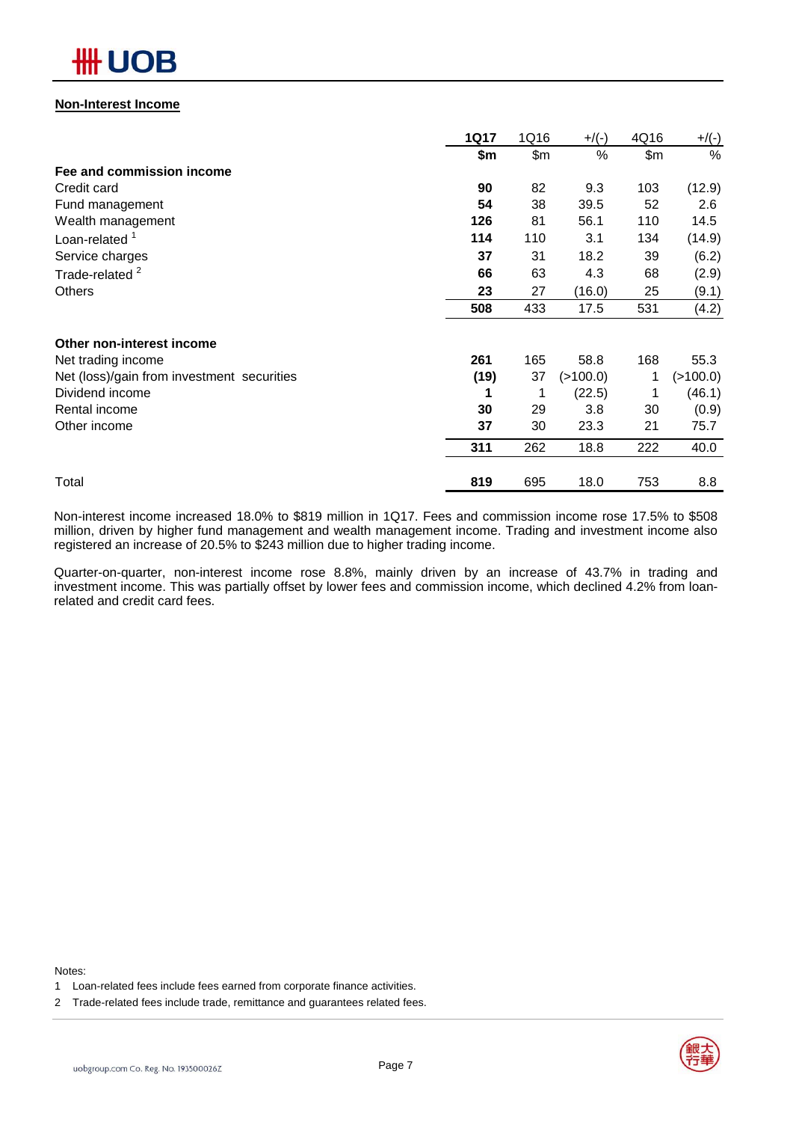# ₩ UOB

### **Non-Interest Income**

|                                            | <b>1Q17</b> | 1Q16  | $+$ /(-) | 4Q16  | $+/(-)$  |
|--------------------------------------------|-------------|-------|----------|-------|----------|
|                                            | \$m         | \$m\$ | %        | \$m\$ | %        |
| Fee and commission income                  |             |       |          |       |          |
| Credit card                                | 90          | 82    | 9.3      | 103   | (12.9)   |
| Fund management                            | 54          | 38    | 39.5     | 52    | 2.6      |
| Wealth management                          | 126         | 81    | 56.1     | 110   | 14.5     |
| Loan-related <sup>1</sup>                  | 114         | 110   | 3.1      | 134   | (14.9)   |
| Service charges                            | 37          | 31    | 18.2     | 39    | (6.2)    |
| Trade-related <sup>2</sup>                 | 66          | 63    | 4.3      | 68    | (2.9)    |
| Others                                     | 23          | 27    | (16.0)   | 25    | (9.1)    |
|                                            | 508         | 433   | 17.5     | 531   | (4.2)    |
| Other non-interest income                  |             |       |          |       |          |
| Net trading income                         | 261         | 165   | 58.8     | 168   | 55.3     |
| Net (loss)/gain from investment securities | (19)        | 37    | (>100.0) | 1     | (>100.0) |
| Dividend income                            | 1           | 1     | (22.5)   |       | (46.1)   |
| Rental income                              | 30          | 29    | 3.8      | 30    | (0.9)    |
| Other income                               | 37          | 30    | 23.3     | 21    | 75.7     |
|                                            | 311         | 262   | 18.8     | 222   | 40.0     |
| Total                                      | 819         | 695   | 18.0     | 753   | 8.8      |

Non-interest income increased 18.0% to \$819 million in 1Q17. Fees and commission income rose 17.5% to \$508 million, driven by higher fund management and wealth management income. Trading and investment income also registered an increase of 20.5% to \$243 million due to higher trading income.

Quarter-on-quarter, non-interest income rose 8.8%, mainly driven by an increase of 43.7% in trading and investment income. This was partially offset by lower fees and commission income, which declined 4.2% from loanrelated and credit card fees.

Notes:

- 1 Loan-related fees include fees earned from corporate finance activities.
- 2 Trade-related fees include trade, remittance and guarantees related fees.

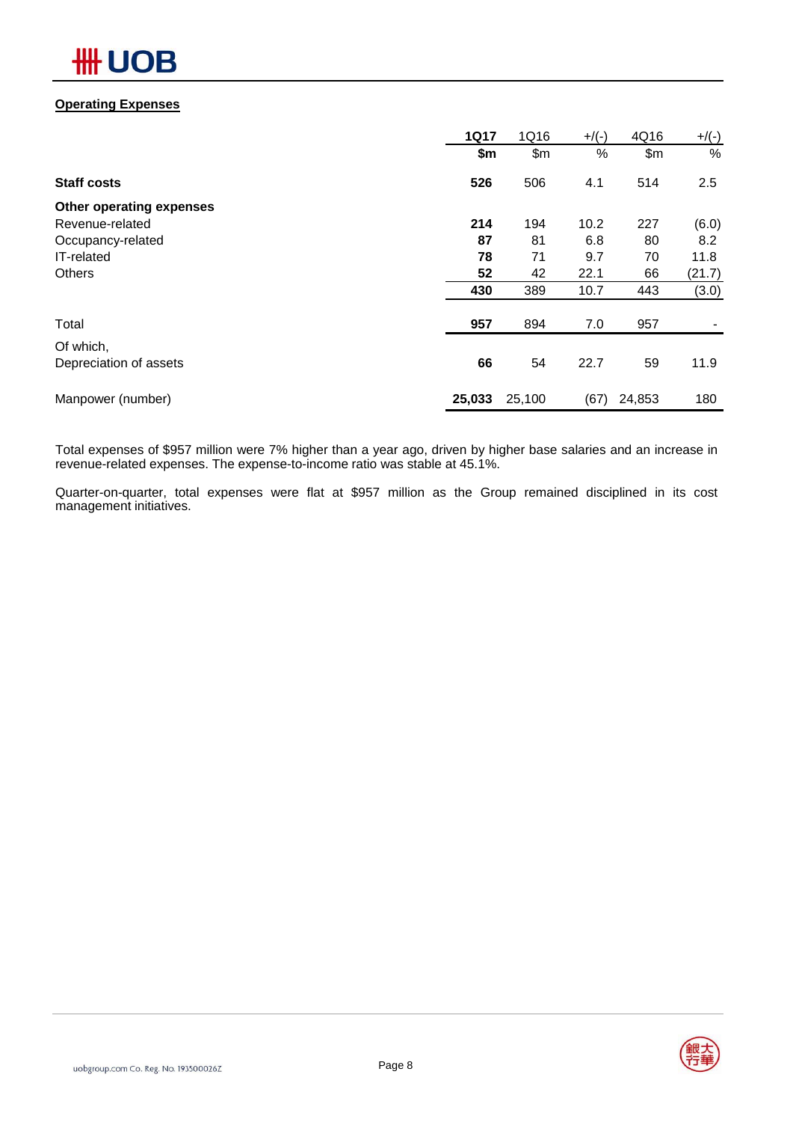# **HH UOB**

### **Operating Expenses**

|                          | <b>1Q17</b> | 1Q16   | $+$ /(-) | 4Q16   | $+/(-)$ |
|--------------------------|-------------|--------|----------|--------|---------|
|                          | \$m         | \$m\$  | %        | \$m\$  | $\%$    |
| <b>Staff costs</b>       | 526         | 506    | 4.1      | 514    | 2.5     |
| Other operating expenses |             |        |          |        |         |
| Revenue-related          | 214         | 194    | 10.2     | 227    | (6.0)   |
| Occupancy-related        | 87          | 81     | 6.8      | 80     | 8.2     |
| IT-related               | 78          | 71     | 9.7      | 70     | 11.8    |
| <b>Others</b>            | 52          | 42     | 22.1     | 66     | (21.7)  |
|                          | 430         | 389    | 10.7     | 443    | (3.0)   |
| Total                    | 957         | 894    | 7.0      | 957    |         |
| Of which,                |             |        |          |        |         |
| Depreciation of assets   | 66          | 54     | 22.7     | 59     | 11.9    |
| Manpower (number)        | 25,033      | 25,100 | (67)     | 24,853 | 180     |

Total expenses of \$957 million were 7% higher than a year ago, driven by higher base salaries and an increase in revenue-related expenses. The expense-to-income ratio was stable at 45.1%.

Quarter-on-quarter, total expenses were flat at \$957 million as the Group remained disciplined in its cost management initiatives.

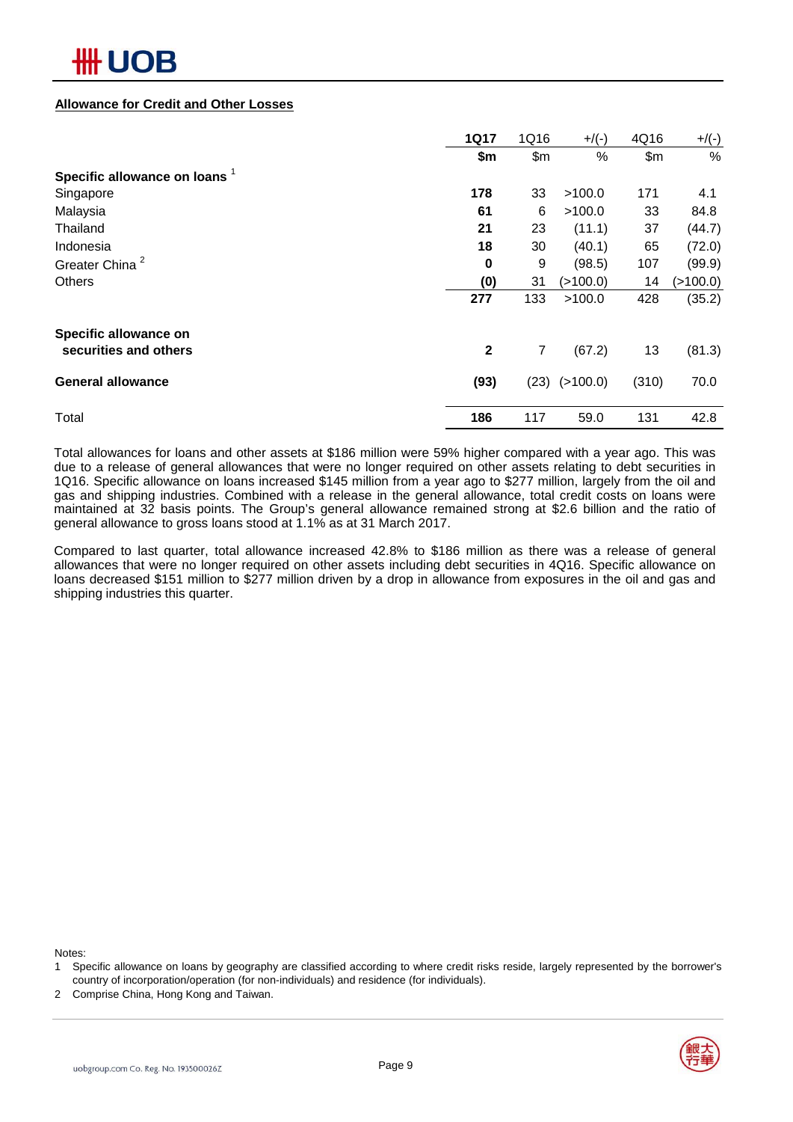### **Allowance for Credit and Other Losses**

|                                          | <b>1Q17</b>  | 1Q16           | $+$ /(-)   | 4Q16  | $+/(-)$  |
|------------------------------------------|--------------|----------------|------------|-------|----------|
|                                          | \$m          | \$m\$          | %          | \$m\$ | $\%$     |
| Specific allowance on loans <sup>1</sup> |              |                |            |       |          |
| Singapore                                | 178          | 33             | >100.0     | 171   | 4.1      |
| Malaysia                                 | 61           | 6              | >100.0     | 33    | 84.8     |
| Thailand                                 | 21           | 23             | (11.1)     | 37    | (44.7)   |
| Indonesia                                | 18           | 30             | (40.1)     | 65    | (72.0)   |
| Greater China <sup>2</sup>               | 0            | 9              | (98.5)     | 107   | (99.9)   |
| <b>Others</b>                            | (0)          | 31             | ( > 100.0) | 14    | (>100.0) |
|                                          | 277          | 133            | >100.0     | 428   | (35.2)   |
| Specific allowance on                    |              |                |            |       |          |
| securities and others                    | $\mathbf{2}$ | $\overline{7}$ | (67.2)     | 13    | (81.3)   |
| <b>General allowance</b>                 | (93)         | (23)           | (>100.0)   | (310) | 70.0     |
| Total                                    | 186          | 117            | 59.0       | 131   | 42.8     |

Total allowances for loans and other assets at \$186 million were 59% higher compared with a year ago. This was due to a release of general allowances that were no longer required on other assets relating to debt securities in 1Q16. Specific allowance on loans increased \$145 million from a year ago to \$277 million, largely from the oil and gas and shipping industries. Combined with a release in the general allowance, total credit costs on loans were maintained at 32 basis points. The Group's general allowance remained strong at \$2.6 billion and the ratio of general allowance to gross loans stood at 1.1% as at 31 March 2017.

Compared to last quarter, total allowance increased 42.8% to \$186 million as there was a release of general allowances that were no longer required on other assets including debt securities in 4Q16. Specific allowance on loans decreased \$151 million to \$277 million driven by a drop in allowance from exposures in the oil and gas and shipping industries this quarter.

Notes:

- 1 Specific allowance on loans by geography are classified according to where credit risks reside, largely represented by the borrower's country of incorporation/operation (for non-individuals) and residence (for individuals).
- 2 Comprise China, Hong Kong and Taiwan.

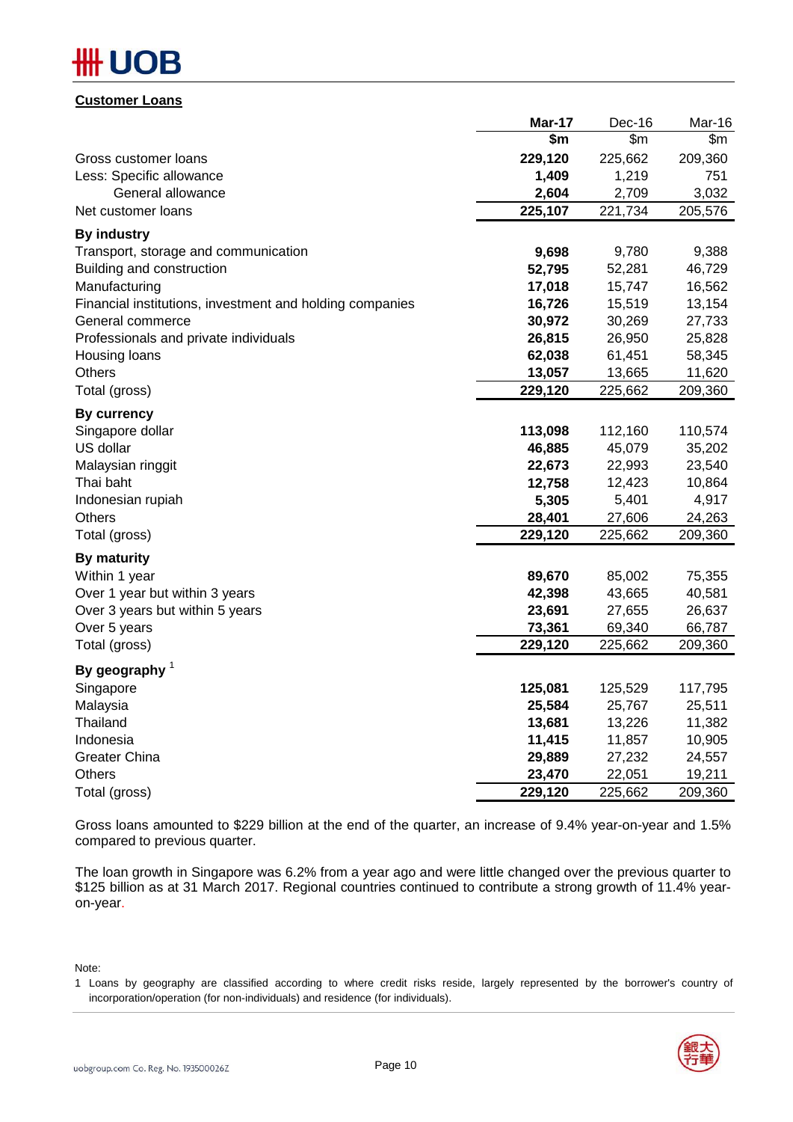# B

### **Customer Loans**

|                                                          | Mar-17  | Dec-16  | Mar-16  |
|----------------------------------------------------------|---------|---------|---------|
|                                                          | \$m     | \$m\$   | \$m     |
| Gross customer loans                                     | 229,120 | 225,662 | 209,360 |
| Less: Specific allowance                                 | 1,409   | 1,219   | 751     |
| General allowance                                        | 2,604   | 2,709   | 3,032   |
| Net customer loans                                       | 225,107 | 221,734 | 205,576 |
| <b>By industry</b>                                       |         |         |         |
| Transport, storage and communication                     | 9,698   | 9,780   | 9,388   |
| Building and construction                                | 52,795  | 52,281  | 46,729  |
| Manufacturing                                            | 17,018  | 15,747  | 16,562  |
| Financial institutions, investment and holding companies | 16,726  | 15,519  | 13,154  |
| General commerce                                         | 30,972  | 30,269  | 27,733  |
| Professionals and private individuals                    | 26,815  | 26,950  | 25,828  |
| Housing loans                                            | 62,038  | 61,451  | 58,345  |
| <b>Others</b>                                            | 13,057  | 13,665  | 11,620  |
| Total (gross)                                            | 229,120 | 225,662 | 209,360 |
| <b>By currency</b>                                       |         |         |         |
| Singapore dollar                                         | 113,098 | 112,160 | 110,574 |
| US dollar                                                | 46,885  | 45,079  | 35,202  |
| Malaysian ringgit                                        | 22,673  | 22,993  | 23,540  |
| Thai baht                                                | 12,758  | 12,423  | 10,864  |
| Indonesian rupiah                                        | 5,305   | 5,401   | 4,917   |
| <b>Others</b>                                            | 28,401  | 27,606  | 24,263  |
| Total (gross)                                            | 229,120 | 225,662 | 209,360 |
| <b>By maturity</b>                                       |         |         |         |
| Within 1 year                                            | 89,670  | 85,002  | 75,355  |
| Over 1 year but within 3 years                           | 42,398  | 43,665  | 40,581  |
| Over 3 years but within 5 years                          | 23,691  | 27,655  | 26,637  |
| Over 5 years                                             | 73,361  | 69,340  | 66,787  |
| Total (gross)                                            | 229,120 | 225,662 | 209,360 |
| By geography $1$                                         |         |         |         |
| Singapore                                                | 125,081 | 125,529 | 117,795 |
| Malaysia                                                 | 25,584  | 25,767  | 25,511  |
| Thailand                                                 | 13,681  | 13,226  | 11,382  |
| Indonesia                                                | 11,415  | 11,857  | 10,905  |
| <b>Greater China</b>                                     | 29,889  | 27,232  | 24,557  |
| <b>Others</b>                                            | 23,470  | 22,051  | 19,211  |
| Total (gross)                                            | 229,120 | 225,662 | 209,360 |

Gross loans amounted to \$229 billion at the end of the quarter, an increase of 9.4% year-on-year and 1.5% compared to previous quarter.

The loan growth in Singapore was 6.2% from a year ago and were little changed over the previous quarter to \$125 billion as at 31 March 2017. Regional countries continued to contribute a strong growth of 11.4% yearon-year.

Note:

<sup>1</sup> Loans by geography are classified according to where credit risks reside, largely represented by the borrower's country of incorporation/operation (for non-individuals) and residence (for individuals).

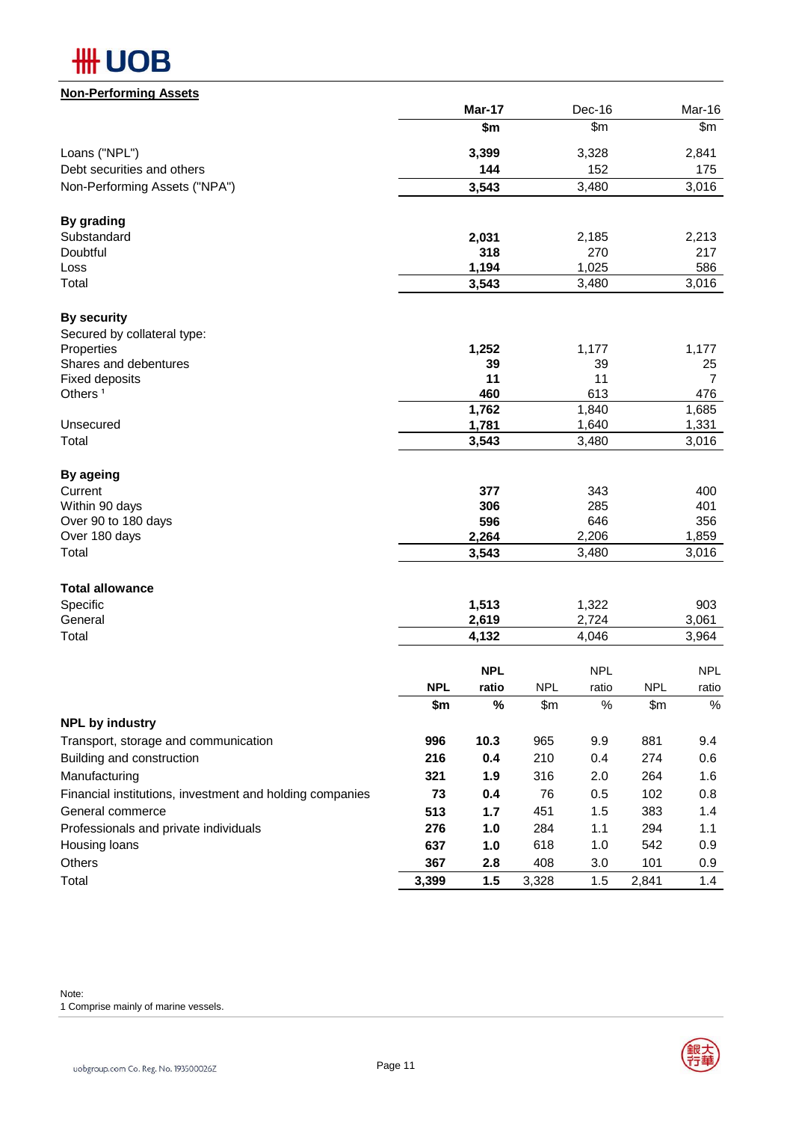

| <u>Non-Performing Assets</u>                             |            |              |            |              |            |              |
|----------------------------------------------------------|------------|--------------|------------|--------------|------------|--------------|
|                                                          |            | Mar-17       |            | Dec-16       |            | Mar-16       |
|                                                          |            | \$m          |            | \$m\$        |            | \$m\$        |
| Loans ("NPL")                                            |            | 3,399        |            | 3,328        |            | 2,841        |
| Debt securities and others                               |            | 144          |            | 152          |            | 175          |
| Non-Performing Assets ("NPA")                            |            | 3,543        |            | 3,480        |            | 3,016        |
| By grading                                               |            |              |            |              |            |              |
| Substandard                                              |            | 2,031        |            | 2,185        |            | 2,213        |
| Doubtful                                                 |            | 318          |            | 270          |            | 217          |
| Loss                                                     |            | 1,194        |            | 1,025        |            | 586          |
| Total                                                    |            | 3,543        |            | 3,480        |            | 3,016        |
| <b>By security</b>                                       |            |              |            |              |            |              |
| Secured by collateral type:                              |            |              |            |              |            |              |
| Properties                                               |            | 1,252        |            | 1,177        |            | 1,177        |
| Shares and debentures                                    |            | 39           |            | 39           |            | 25           |
| <b>Fixed deposits</b>                                    |            | 11           |            | 11           |            | 7            |
| Others <sup>1</sup>                                      |            | 460          |            | 613          |            | 476          |
|                                                          |            | 1,762        |            | 1,840        |            | 1,685        |
| Unsecured                                                |            | 1,781        |            | 1,640        |            | 1,331        |
| Total                                                    |            | 3,543        |            | 3,480        |            | 3,016        |
| By ageing                                                |            |              |            |              |            |              |
| Current                                                  |            | 377          |            | 343          |            | 400          |
| Within 90 days                                           |            | 306          |            | 285          |            | 401          |
| Over 90 to 180 days<br>Over 180 days                     |            | 596<br>2,264 |            | 646<br>2,206 |            | 356<br>1,859 |
| Total                                                    |            | 3,543        |            | 3,480        |            | 3,016        |
|                                                          |            |              |            |              |            |              |
| <b>Total allowance</b>                                   |            |              |            |              |            |              |
| Specific<br>General                                      |            | 1,513        |            | 1,322        |            | 903          |
| Total                                                    |            | 2,619        |            | 2,724        |            | 3,061        |
|                                                          |            | 4,132        |            | 4,046        |            | 3,964        |
|                                                          |            | <b>NPL</b>   |            | <b>NPL</b>   |            | <b>NPL</b>   |
|                                                          | <b>NPL</b> | ratio        | <b>NPL</b> | ratio        | <b>NPL</b> | ratio        |
| <b>NPL by industry</b>                                   | \$m        | $\%$         | \$m        | $\%$         | \$m\$      | $\%$         |
| Transport, storage and communication                     | 996        | 10.3         | 965        | 9.9          | 881        | 9.4          |
| Building and construction                                | 216        | 0.4          | 210        | 0.4          | 274        | 0.6          |
| Manufacturing                                            | 321        | 1.9          | 316        | 2.0          | 264        | 1.6          |
|                                                          |            |              | 76         |              |            |              |
| Financial institutions, investment and holding companies | 73         | 0.4          |            | 0.5          | 102        | 0.8          |
| General commerce                                         | 513        | 1.7          | 451        | 1.5          | 383        | 1.4          |
| Professionals and private individuals                    | 276        | 1.0          | 284        | 1.1          | 294        | 1.1          |
| Housing loans                                            | 637        | 1.0          | 618        | 1.0          | 542        | 0.9          |
| Others                                                   | 367        | 2.8          | 408        | 3.0          | 101        | 0.9          |



Total **3,399 1.5** 3,328 1.5 2,841 1.4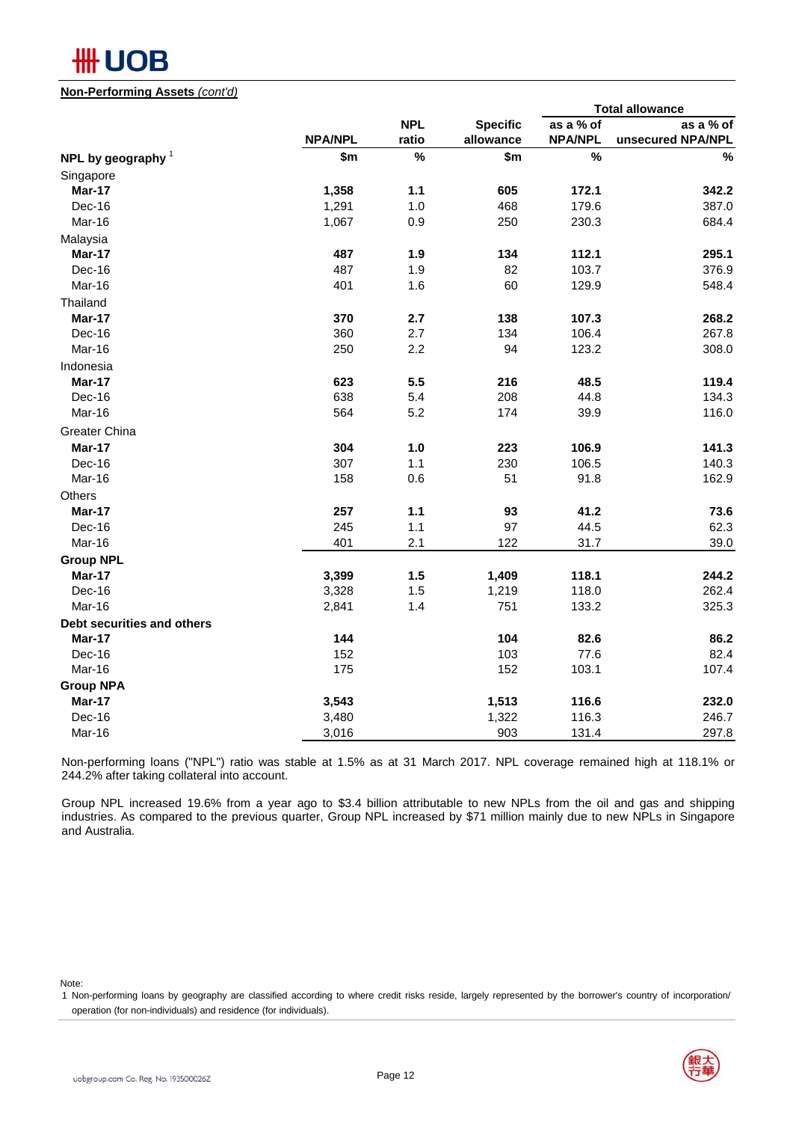# **HH UOB**

### **Non-Performing Assets** *(cont'd)*

|                            | <b>Total allowance</b> |            |                 |                |                   |
|----------------------------|------------------------|------------|-----------------|----------------|-------------------|
|                            |                        | <b>NPL</b> | <b>Specific</b> | as a % of      | as a % of         |
|                            | <b>NPA/NPL</b>         | ratio      | allowance       | <b>NPA/NPL</b> | unsecured NPA/NPL |
| NPL by geography $1$       | \$m                    | %          | \$m\$           | %              | %                 |
| Singapore                  |                        |            |                 |                |                   |
| Mar-17                     | 1,358                  | $1.1$      | 605             | 172.1          | 342.2             |
| Dec-16                     | 1,291                  | 1.0        | 468             | 179.6          | 387.0             |
| Mar-16                     | 1,067                  | 0.9        | 250             | 230.3          | 684.4             |
| Malaysia                   |                        |            |                 |                |                   |
| Mar-17                     | 487                    | 1.9        | 134             | 112.1          | 295.1             |
| Dec-16                     | 487                    | 1.9        | 82              | 103.7          | 376.9             |
| Mar-16                     | 401                    | 1.6        | 60              | 129.9          | 548.4             |
| Thailand                   |                        |            |                 |                |                   |
| Mar-17                     | 370                    | 2.7        | 138             | 107.3          | 268.2             |
| Dec-16                     | 360                    | 2.7        | 134             | 106.4          | 267.8             |
| Mar-16                     | 250                    | 2.2        | 94              | 123.2          | 308.0             |
| Indonesia                  |                        |            |                 |                |                   |
| Mar-17                     | 623                    | 5.5        | 216             | 48.5           | 119.4             |
| Dec-16                     | 638                    | 5.4        | 208             | 44.8           | 134.3             |
| Mar-16                     | 564                    | 5.2        | 174             | 39.9           | 116.0             |
| Greater China              |                        |            |                 |                |                   |
| Mar-17                     | 304                    | 1.0        | 223             | 106.9          | 141.3             |
| Dec-16                     | 307                    | 1.1        | 230             | 106.5          | 140.3             |
| Mar-16                     | 158                    | 0.6        | 51              | 91.8           | 162.9             |
| Others                     |                        |            |                 |                |                   |
| <b>Mar-17</b>              | 257                    | $1.1$      | 93              | 41.2           | 73.6              |
| Dec-16                     | 245                    | 1.1        | 97              | 44.5           | 62.3              |
| Mar-16                     | 401                    | 2.1        | 122             | 31.7           | 39.0              |
| <b>Group NPL</b>           |                        |            |                 |                |                   |
| <b>Mar-17</b>              | 3,399                  | 1.5        | 1,409           | 118.1          | 244.2             |
| Dec-16                     | 3,328                  | 1.5        | 1,219           | 118.0          | 262.4             |
| Mar-16                     | 2,841                  | 1.4        | 751             | 133.2          | 325.3             |
| Debt securities and others |                        |            |                 |                |                   |
| <b>Mar-17</b>              | 144                    |            | 104             | 82.6           | 86.2              |
| Dec-16                     | 152                    |            | 103             | 77.6           | 82.4              |
| Mar-16                     | 175                    |            | 152             | 103.1          | 107.4             |
| <b>Group NPA</b>           |                        |            |                 |                |                   |
| Mar-17                     | 3,543                  |            | 1,513           | 116.6          | 232.0             |
| Dec-16                     | 3,480                  |            | 1,322           | 116.3          | 246.7             |
| Mar-16                     | 3,016                  |            | 903             | 131.4          | 297.8             |

Non-performing loans ("NPL") ratio was stable at 1.5% as at 31 March 2017. NPL coverage remained high at 118.1% or 244.2% after taking collateral into account.

Group NPL increased 19.6% from a year ago to \$3.4 billion attributable to new NPLs from the oil and gas and shipping industries. As compared to the previous quarter, Group NPL increased by \$71 million mainly due to new NPLs in Singapore and Australia.

Note:

<sup>1</sup> Non-performing loans by geography are classified according to where credit risks reside, largely represented by the borrower's country of incorporation/ operation (for non-individuals) and residence (for individuals).

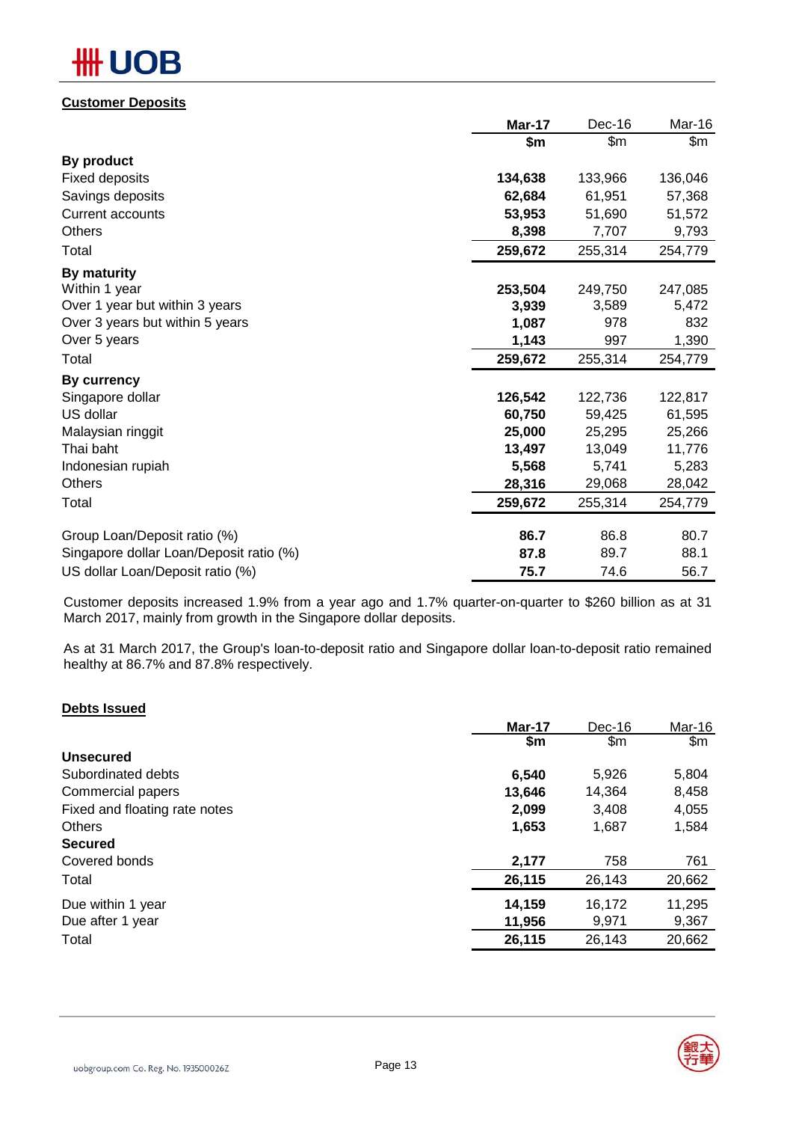# **OB**

### **Customer Deposits**

|                                         | Mar-17  | Dec-16  | Mar-16  |
|-----------------------------------------|---------|---------|---------|
|                                         | \$m     | \$m     | \$m     |
| By product                              |         |         |         |
| <b>Fixed deposits</b>                   | 134,638 | 133,966 | 136,046 |
| Savings deposits                        | 62,684  | 61,951  | 57,368  |
| <b>Current accounts</b>                 | 53,953  | 51,690  | 51,572  |
| Others                                  | 8,398   | 7,707   | 9,793   |
| Total                                   | 259,672 | 255,314 | 254,779 |
| By maturity                             |         |         |         |
| Within 1 year                           | 253,504 | 249,750 | 247,085 |
| Over 1 year but within 3 years          | 3,939   | 3,589   | 5,472   |
| Over 3 years but within 5 years         | 1,087   | 978     | 832     |
| Over 5 years                            | 1,143   | 997     | 1,390   |
| Total                                   | 259,672 | 255,314 | 254,779 |
| By currency                             |         |         |         |
| Singapore dollar                        | 126,542 | 122,736 | 122,817 |
| US dollar                               | 60,750  | 59,425  | 61,595  |
| Malaysian ringgit                       | 25,000  | 25,295  | 25,266  |
| Thai baht                               | 13,497  | 13,049  | 11,776  |
| Indonesian rupiah                       | 5,568   | 5,741   | 5,283   |
| Others                                  | 28,316  | 29,068  | 28,042  |
| Total                                   | 259,672 | 255,314 | 254,779 |
| Group Loan/Deposit ratio (%)            | 86.7    | 86.8    | 80.7    |
| Singapore dollar Loan/Deposit ratio (%) | 87.8    | 89.7    | 88.1    |
| US dollar Loan/Deposit ratio (%)        | 75.7    | 74.6    | 56.7    |

Customer deposits increased 1.9% from a year ago and 1.7% quarter-on-quarter to \$260 billion as at 31 March 2017, mainly from growth in the Singapore dollar deposits.

As at 31 March 2017, the Group's loan-to-deposit ratio and Singapore dollar loan-to-deposit ratio remained healthy at 86.7% and 87.8% respectively.

### **Debts Issued**

|                               | Mar-17 | Dec-16 | Mar-16        |
|-------------------------------|--------|--------|---------------|
|                               | \$m\$  | \$m    | $\mathsf{Sm}$ |
| <b>Unsecured</b>              |        |        |               |
| Subordinated debts            | 6,540  | 5,926  | 5,804         |
| Commercial papers             | 13,646 | 14.364 | 8,458         |
| Fixed and floating rate notes | 2,099  | 3,408  | 4,055         |
| <b>Others</b>                 | 1,653  | 1,687  | 1,584         |
| <b>Secured</b>                |        |        |               |
| Covered bonds                 | 2,177  | 758    | 761           |
| Total                         | 26,115 | 26,143 | 20,662        |
| Due within 1 year             | 14,159 | 16,172 | 11,295        |
| Due after 1 year              | 11,956 | 9,971  | 9,367         |
| Total                         | 26,115 | 26,143 | 20,662        |

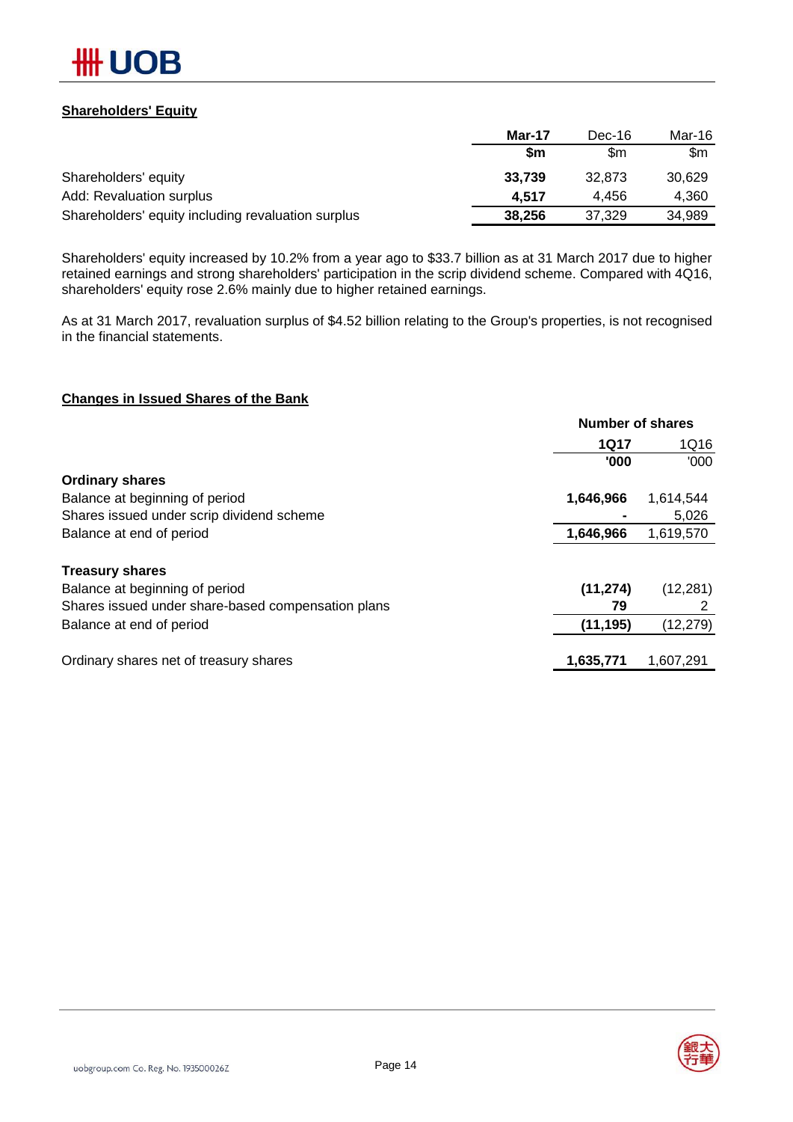

### **Shareholders' Equity**

|                                                    | Mar-17    | Dec-16 | Mar-16 |
|----------------------------------------------------|-----------|--------|--------|
|                                                    | <b>Sm</b> | \$m    | \$m    |
| Shareholders' equity                               | 33.739    | 32.873 | 30,629 |
| Add: Revaluation surplus                           | 4.517     | 4.456  | 4,360  |
| Shareholders' equity including revaluation surplus | 38,256    | 37.329 | 34,989 |

Shareholders' equity increased by 10.2% from a year ago to \$33.7 billion as at 31 March 2017 due to higher retained earnings and strong shareholders' participation in the scrip dividend scheme. Compared with 4Q16, shareholders' equity rose 2.6% mainly due to higher retained earnings.

As at 31 March 2017, revaluation surplus of \$4.52 billion relating to the Group's properties, is not recognised in the financial statements.

### **Changes in Issued Shares of the Bank**

| <b>Number of shares</b> |           |  |
|-------------------------|-----------|--|
| <b>1Q17</b>             | 1Q16      |  |
| '000                    | '000      |  |
|                         |           |  |
| 1,646,966               | 1,614,544 |  |
|                         | 5,026     |  |
| 1,646,966               | 1,619,570 |  |
|                         |           |  |
| (11, 274)               | (12, 281) |  |
| 79                      |           |  |
| (11, 195)               | (12, 279) |  |
| 1,635,771               | 1,607,291 |  |
|                         |           |  |

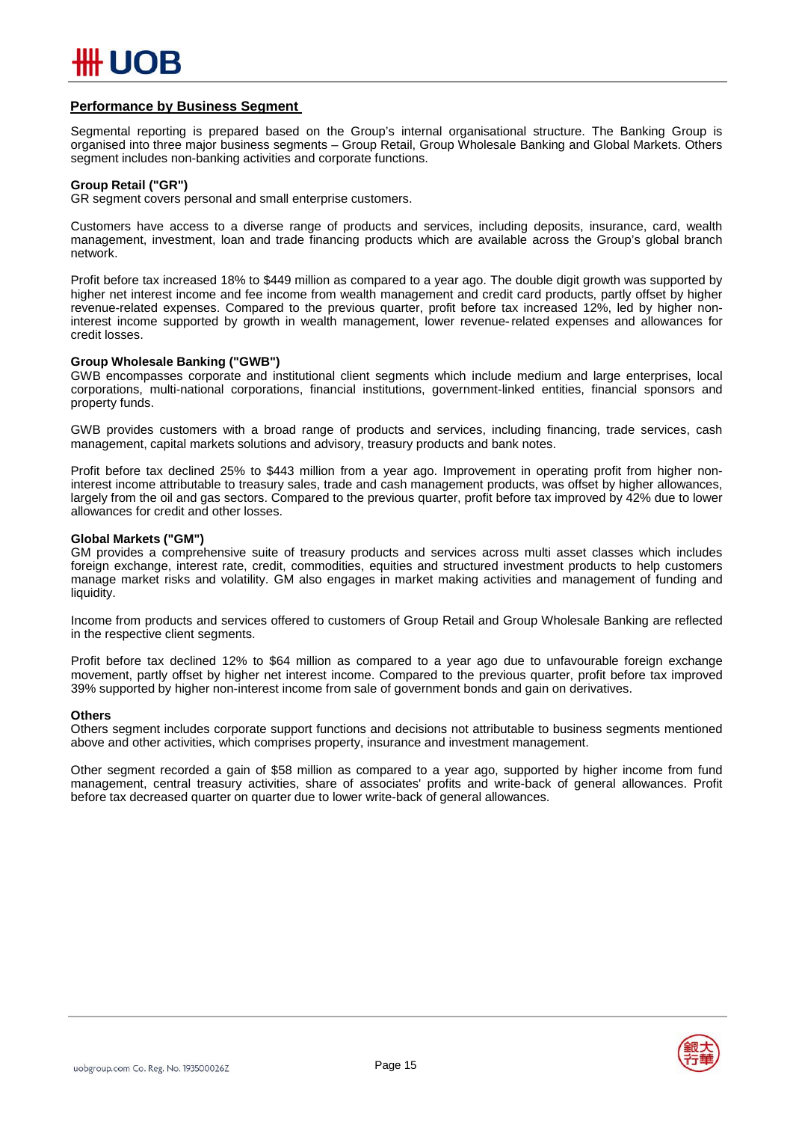

### **Performance by Business Segment**

Segmental reporting is prepared based on the Group's internal organisational structure. The Banking Group is organised into three major business segments – Group Retail, Group Wholesale Banking and Global Markets. Others segment includes non-banking activities and corporate functions.

### **Group Retail ("GR")**

GR segment covers personal and small enterprise customers.

Customers have access to a diverse range of products and services, including deposits, insurance, card, wealth management, investment, loan and trade financing products which are available across the Group's global branch network.

Profit before tax increased 18% to \$449 million as compared to a year ago. The double digit growth was supported by higher net interest income and fee income from wealth management and credit card products, partly offset by higher revenue-related expenses. Compared to the previous quarter, profit before tax increased 12%, led by higher noninterest income supported by growth in wealth management, lower revenue-related expenses and allowances for credit losses.

### **Group Wholesale Banking ("GWB")**

GWB encompasses corporate and institutional client segments which include medium and large enterprises, local corporations, multi-national corporations, financial institutions, government-linked entities, financial sponsors and property funds.

GWB provides customers with a broad range of products and services, including financing, trade services, cash management, capital markets solutions and advisory, treasury products and bank notes.

Profit before tax declined 25% to \$443 million from a year ago. Improvement in operating profit from higher noninterest income attributable to treasury sales, trade and cash management products, was offset by higher allowances, largely from the oil and gas sectors. Compared to the previous quarter, profit before tax improved by 42% due to lower allowances for credit and other losses.

#### **Global Markets ("GM")**

GM provides a comprehensive suite of treasury products and services across multi asset classes which includes foreign exchange, interest rate, credit, commodities, equities and structured investment products to help customers manage market risks and volatility. GM also engages in market making activities and management of funding and liquidity.

Income from products and services offered to customers of Group Retail and Group Wholesale Banking are reflected in the respective client segments.

Profit before tax declined 12% to \$64 million as compared to a year ago due to unfavourable foreign exchange movement, partly offset by higher net interest income. Compared to the previous quarter, profit before tax improved 39% supported by higher non-interest income from sale of government bonds and gain on derivatives.

#### **Others**

Others segment includes corporate support functions and decisions not attributable to business segments mentioned above and other activities, which comprises property, insurance and investment management.

Other segment recorded a gain of \$58 million as compared to a year ago, supported by higher income from fund management, central treasury activities, share of associates' profits and write-back of general allowances. Profit before tax decreased quarter on quarter due to lower write-back of general allowances.

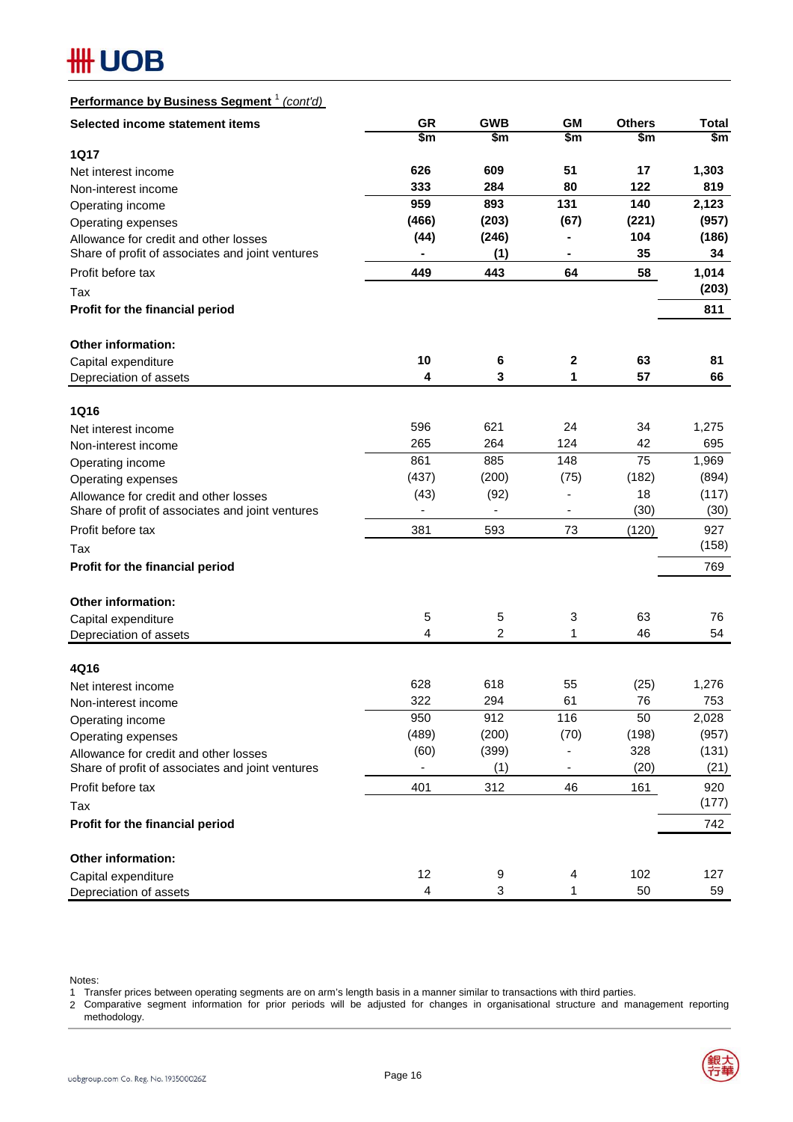# **#H UOB**

# **Performance by Business Segment** <sup>1</sup> *(cont'd)*

| Selected income statement items                  | <b>GR</b> | <b>GWB</b>     | <b>GM</b>                    | <b>Others</b> | <b>Total</b> |
|--------------------------------------------------|-----------|----------------|------------------------------|---------------|--------------|
|                                                  | \$m       | \$m\$          | \$m                          | \$m           | \$m          |
| <b>1Q17</b>                                      |           |                |                              |               |              |
| Net interest income                              | 626       | 609            | 51                           | 17            | 1,303        |
| Non-interest income                              | 333       | 284            | 80                           | 122           | 819          |
| Operating income                                 | 959       | 893            | 131                          | 140           | 2,123        |
| Operating expenses                               | (466)     | (203)          | (67)                         | (221)         | (957)        |
| Allowance for credit and other losses            | (44)      | (246)          |                              | 104           | (186)        |
| Share of profit of associates and joint ventures |           | (1)            |                              | 35            | 34           |
| Profit before tax                                | 449       | 443            | 64                           | 58            | 1,014        |
| Tax                                              |           |                |                              |               | (203)        |
| Profit for the financial period                  |           |                |                              |               | 811          |
| <b>Other information:</b>                        |           |                |                              |               |              |
| Capital expenditure                              | 10        | 6              | $\mathbf 2$                  | 63            | 81           |
| Depreciation of assets                           | 4         | 3              | 1                            | 57            | 66           |
| 1Q16                                             |           |                |                              |               |              |
| Net interest income                              | 596       | 621            | 24                           | 34            | 1,275        |
| Non-interest income                              | 265       | 264            | 124                          | 42            | 695          |
| Operating income                                 | 861       | 885            | 148                          | 75            | 1,969        |
| Operating expenses                               | (437)     | (200)          | (75)                         | (182)         | (894)        |
| Allowance for credit and other losses            | (43)      | (92)           | ٠                            | 18            | (117)        |
| Share of profit of associates and joint ventures |           |                | $\qquad \qquad \blacksquare$ | (30)          | (30)         |
| Profit before tax                                | 381       | 593            | 73                           | (120)         | 927          |
| Tax                                              |           |                |                              |               | (158)        |
| Profit for the financial period                  |           |                |                              |               | 769          |
| <b>Other information:</b>                        |           |                |                              |               |              |
| Capital expenditure                              | 5         | 5              | 3                            | 63            | 76           |
| Depreciation of assets                           | 4         | $\overline{c}$ | 1                            | 46            | 54           |
|                                                  |           |                |                              |               |              |
| 4Q16<br>Net interest income                      | 628       | 618            | 55                           | (25)          | 1,276        |
| Non-interest income                              | 322       | 294            | 61                           | 76            | 753          |
| Operating income                                 | 950       | 912            | 116                          | 50            | 2,028        |
| Operating expenses                               | (489)     | (200)          | (70)                         | (198)         | (957)        |
| Allowance for credit and other losses            | (60)      | (399)          |                              | 328           | (131)        |
| Share of profit of associates and joint ventures |           | (1)            | ٠                            | (20)          | (21)         |
| Profit before tax                                | 401       | 312            | 46                           | 161           | 920          |
| Tax                                              |           |                |                              |               | (177)        |
| Profit for the financial period                  |           |                |                              |               | 742          |
| Other information:                               |           |                |                              |               |              |
| Capital expenditure                              | 12        | 9              | 4                            | 102           | 127          |
| Depreciation of assets                           | 4         | 3              | 1                            | 50            | 59           |

Notes:

1 Transfer prices between operating segments are on arm's length basis in a manner similar to transactions with third parties.

2 Comparative segment information for prior periods will be adjusted for changes in organisational structure and management reporting methodology.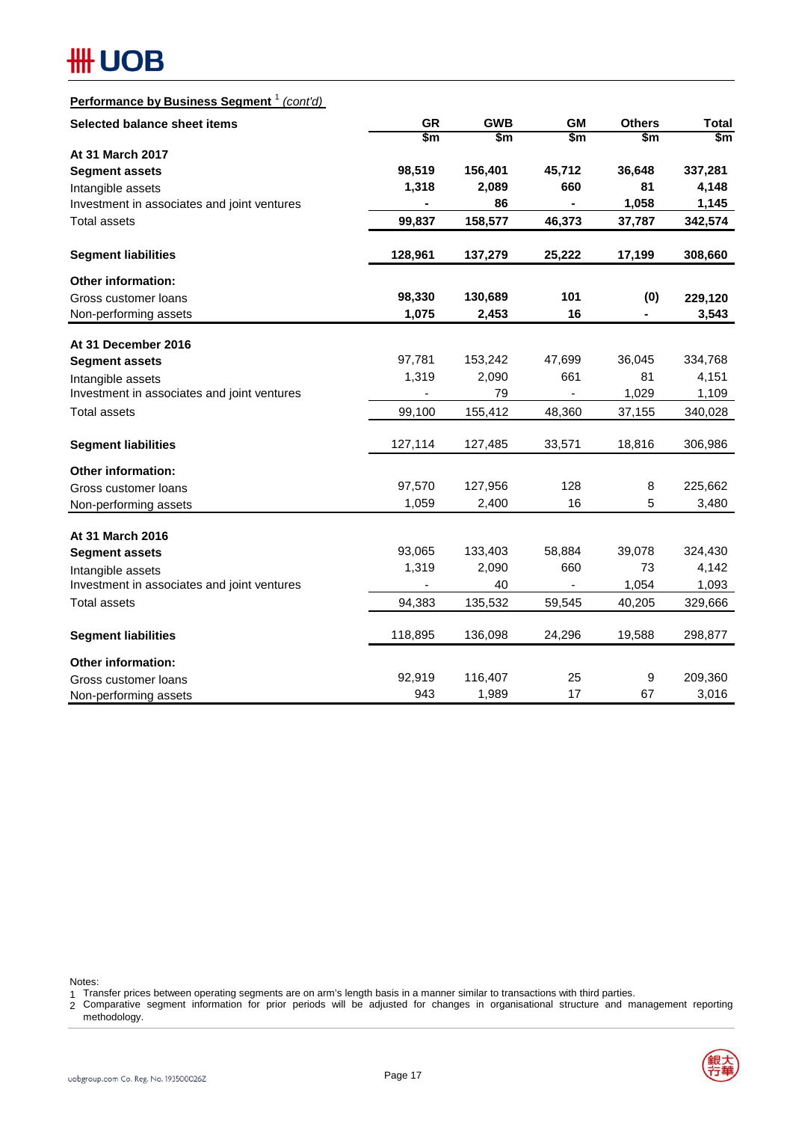# **#H UOB**

# **Performance by Business Segment** <sup>1</sup> *(cont'd)*

| Selected balance sheet items                | <b>GR</b> | <b>GWB</b> | <b>GM</b>                | <b>Others</b>            | <b>Total</b> |
|---------------------------------------------|-----------|------------|--------------------------|--------------------------|--------------|
|                                             | \$m       | \$m        | \$m                      | \$m                      | \$m          |
| At 31 March 2017                            |           |            |                          |                          |              |
| <b>Segment assets</b>                       | 98,519    | 156,401    | 45,712                   | 36,648                   | 337,281      |
| Intangible assets                           | 1,318     | 2,089      | 660                      | 81                       | 4,148        |
| Investment in associates and joint ventures |           | 86         |                          | 1,058                    | 1,145        |
| <b>Total assets</b>                         | 99,837    | 158,577    | 46,373                   | 37,787                   | 342,574      |
| <b>Segment liabilities</b>                  | 128,961   | 137,279    | 25,222                   | 17,199                   | 308,660      |
| <b>Other information:</b>                   |           |            |                          |                          |              |
| Gross customer loans                        | 98,330    | 130,689    | 101                      | (0)                      | 229,120      |
| Non-performing assets                       | 1,075     | 2,453      | 16                       | $\overline{\phantom{0}}$ | 3,543        |
| At 31 December 2016                         |           |            |                          |                          |              |
| <b>Segment assets</b>                       | 97,781    | 153,242    | 47,699                   | 36,045                   | 334,768      |
| Intangible assets                           | 1,319     | 2,090      | 661                      | 81                       | 4,151        |
| Investment in associates and joint ventures |           | 79         | $\overline{\phantom{a}}$ | 1,029                    | 1,109        |
| Total assets                                | 99,100    | 155,412    | 48,360                   | 37,155                   | 340,028      |
| <b>Segment liabilities</b>                  | 127,114   | 127,485    | 33,571                   | 18,816                   | 306,986      |
| <b>Other information:</b>                   |           |            |                          |                          |              |
| Gross customer loans                        | 97,570    | 127,956    | 128                      | 8                        | 225,662      |
| Non-performing assets                       | 1,059     | 2,400      | 16                       | 5                        | 3,480        |
| At 31 March 2016                            |           |            |                          |                          |              |
| <b>Segment assets</b>                       | 93,065    | 133,403    | 58,884                   | 39,078                   | 324,430      |
| Intangible assets                           | 1,319     | 2,090      | 660                      | 73                       | 4,142        |
| Investment in associates and joint ventures |           | 40         | ÷,                       | 1,054                    | 1,093        |
| <b>Total assets</b>                         | 94,383    | 135,532    | 59,545                   | 40,205                   | 329,666      |
| <b>Segment liabilities</b>                  | 118,895   | 136,098    | 24,296                   | 19,588                   | 298,877      |
| <b>Other information:</b>                   |           |            |                          |                          |              |
| Gross customer loans                        | 92,919    | 116,407    | 25                       | 9                        | 209,360      |
| Non-performing assets                       | 943       | 1,989      | 17                       | 67                       | 3,016        |

Notes:

1 Transfer prices between operating segments are on arm's length basis in a manner similar to transactions with third parties.

2 Comparative segment information for prior periods will be adjusted for changes in organisational structure and management reporting methodology.

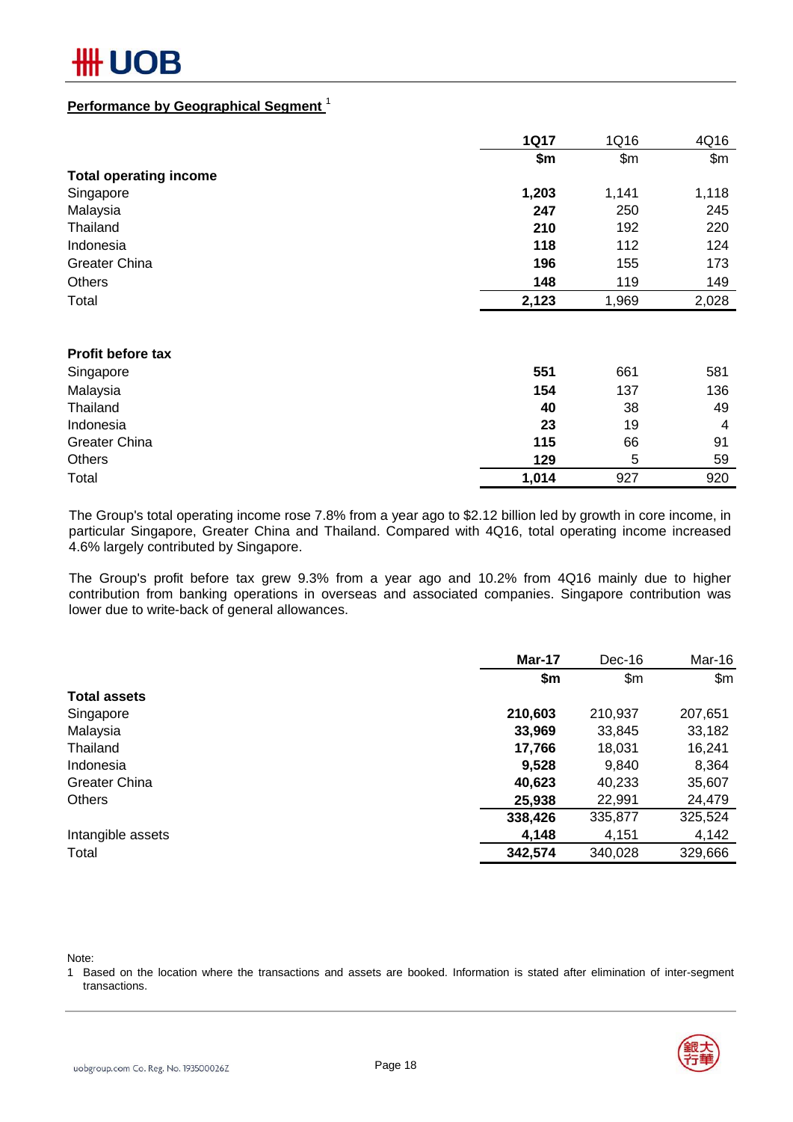### **Performance by Geographical Segment** <sup>1</sup>

|                               | <b>1Q17</b> | 1Q16  | 4Q16  |
|-------------------------------|-------------|-------|-------|
|                               | \$m\$       | \$m\$ | \$m\$ |
| <b>Total operating income</b> |             |       |       |
| Singapore                     | 1,203       | 1,141 | 1,118 |
| Malaysia                      | 247         | 250   | 245   |
| Thailand                      | 210         | 192   | 220   |
| Indonesia                     | 118         | 112   | 124   |
| <b>Greater China</b>          | 196         | 155   | 173   |
| <b>Others</b>                 | 148         | 119   | 149   |
| Total                         | 2,123       | 1,969 | 2,028 |
|                               |             |       |       |
| <b>Profit before tax</b>      |             |       |       |
| Singapore                     | 551         | 661   | 581   |
| Malaysia                      | 154         | 137   | 136   |
| Thailand                      | 40          | 38    | 49    |
| Indonesia                     | 23          | 19    | 4     |
| <b>Greater China</b>          | 115         | 66    | 91    |
| <b>Others</b>                 | 129         | 5     | 59    |

The Group's total operating income rose 7.8% from a year ago to \$2.12 billion led by growth in core income, in particular Singapore, Greater China and Thailand. Compared with 4Q16, total operating income increased 4.6% largely contributed by Singapore.

Total **1,014** 927 920

The Group's profit before tax grew 9.3% from a year ago and 10.2% from 4Q16 mainly due to higher contribution from banking operations in overseas and associated companies. Singapore contribution was lower due to write-back of general allowances.

|                      | Mar-17  | Dec-16  | Mar-16  |
|----------------------|---------|---------|---------|
|                      | \$m     | \$m\$   | \$m\$   |
| <b>Total assets</b>  |         |         |         |
| Singapore            | 210,603 | 210,937 | 207,651 |
| Malaysia             | 33,969  | 33,845  | 33,182  |
| Thailand             | 17,766  | 18,031  | 16,241  |
| Indonesia            | 9,528   | 9,840   | 8,364   |
| <b>Greater China</b> | 40,623  | 40,233  | 35,607  |
| <b>Others</b>        | 25,938  | 22,991  | 24,479  |
|                      | 338,426 | 335,877 | 325,524 |
| Intangible assets    | 4,148   | 4,151   | 4,142   |
| Total                | 342,574 | 340,028 | 329,666 |

Note:

1 Based on the location where the transactions and assets are booked. Information is stated after elimination of inter-segment transactions.

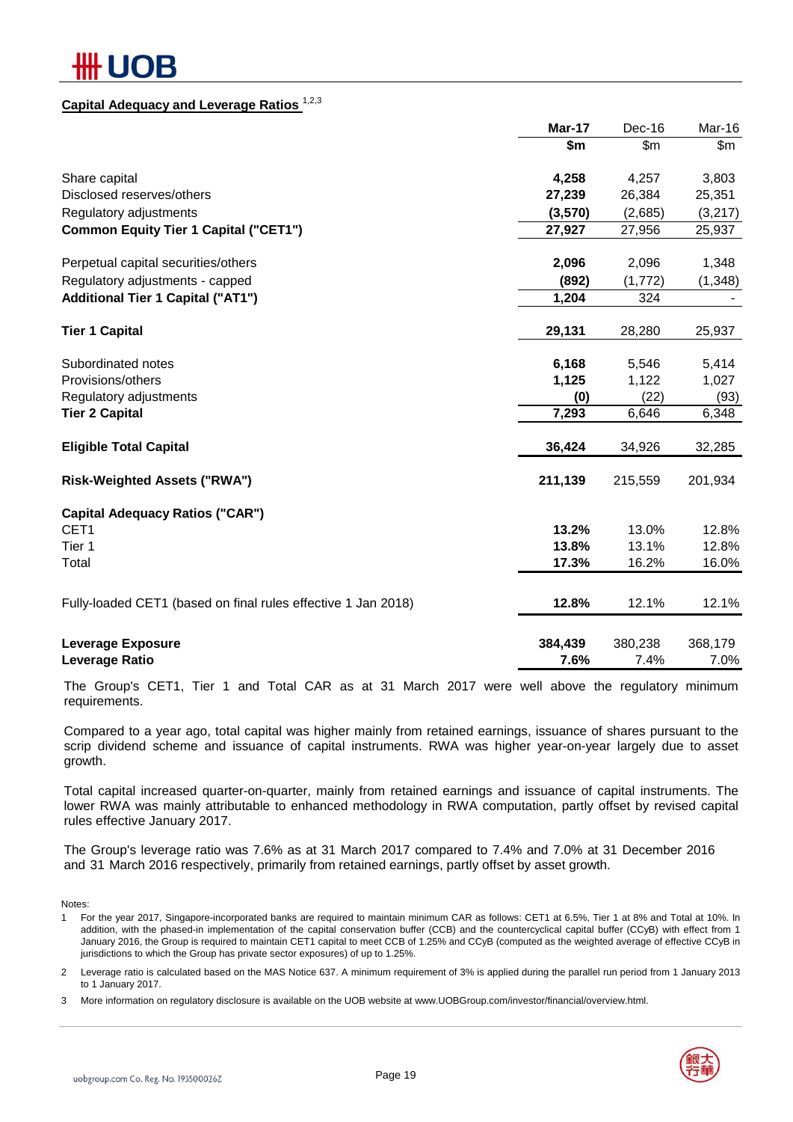# IOB

## **Capital Adequacy and Leverage Ratios** 1,2,3

|                                                               | Mar-17  | Dec-16         | Mar-16  |
|---------------------------------------------------------------|---------|----------------|---------|
|                                                               | \$m     | $\mathsf{S}$ m | \$m\$   |
| Share capital                                                 | 4,258   | 4,257          | 3,803   |
| Disclosed reserves/others                                     | 27,239  | 26,384         | 25,351  |
| Regulatory adjustments                                        | (3,570) | (2,685)        | (3,217) |
| <b>Common Equity Tier 1 Capital ("CET1")</b>                  | 27,927  | 27,956         | 25,937  |
| Perpetual capital securities/others                           | 2,096   | 2,096          | 1,348   |
| Regulatory adjustments - capped                               | (892)   | (1,772)        | (1,348) |
| <b>Additional Tier 1 Capital ("AT1")</b>                      | 1,204   | 324            |         |
| <b>Tier 1 Capital</b>                                         | 29,131  | 28,280         | 25,937  |
| Subordinated notes                                            | 6,168   | 5,546          | 5,414   |
| Provisions/others                                             | 1,125   | 1,122          | 1,027   |
| Regulatory adjustments                                        | (0)     | (22)           | (93)    |
| <b>Tier 2 Capital</b>                                         | 7,293   | 6,646          | 6,348   |
| <b>Eligible Total Capital</b>                                 | 36,424  | 34,926         | 32,285  |
| <b>Risk-Weighted Assets ("RWA")</b>                           | 211,139 | 215,559        | 201,934 |
| <b>Capital Adequacy Ratios ("CAR")</b>                        |         |                |         |
| CET1                                                          | 13.2%   | 13.0%          | 12.8%   |
| Tier 1                                                        | 13.8%   | 13.1%          | 12.8%   |
| Total                                                         | 17.3%   | 16.2%          | 16.0%   |
| Fully-loaded CET1 (based on final rules effective 1 Jan 2018) | 12.8%   | 12.1%          | 12.1%   |
| <b>Leverage Exposure</b>                                      | 384,439 | 380,238        | 368,179 |
| <b>Leverage Ratio</b>                                         | 7.6%    | 7.4%           | 7.0%    |

The Group's CET1, Tier 1 and Total CAR as at 31 March 2017 were well above the regulatory minimum requirements.

Compared to a year ago, total capital was higher mainly from retained earnings, issuance of shares pursuant to the scrip dividend scheme and issuance of capital instruments. RWA was higher year-on-year largely due to asset growth.

Total capital increased quarter-on-quarter, mainly from retained earnings and issuance of capital instruments. The lower RWA was mainly attributable to enhanced methodology in RWA computation, partly offset by revised capital rules effective January 2017.

The Group's leverage ratio was 7.6% as at 31 March 2017 compared to 7.4% and 7.0% at 31 December 2016 and 31 March 2016 respectively, primarily from retained earnings, partly offset by asset growth.

Notes:

<sup>3</sup> More information on regulatory disclosure is available on the UOB website at www.UOBGroup.com/investor/financial/overview.html.



<sup>1</sup> For the year 2017, Singapore-incorporated banks are required to maintain minimum CAR as follows: CET1 at 6.5%, Tier 1 at 8% and Total at 10%. In addition, with the phased-in implementation of the capital conservation buffer (CCB) and the countercyclical capital buffer (CCyB) with effect from 1 January 2016, the Group is required to maintain CET1 capital to meet CCB of 1.25% and CCyB (computed as the weighted average of effective CCyB in jurisdictions to which the Group has private sector exposures) of up to 1.25%.

<sup>2</sup> Leverage ratio is calculated based on the MAS Notice 637. A minimum requirement of 3% is applied during the parallel run period from 1 January 2013 to 1 January 2017.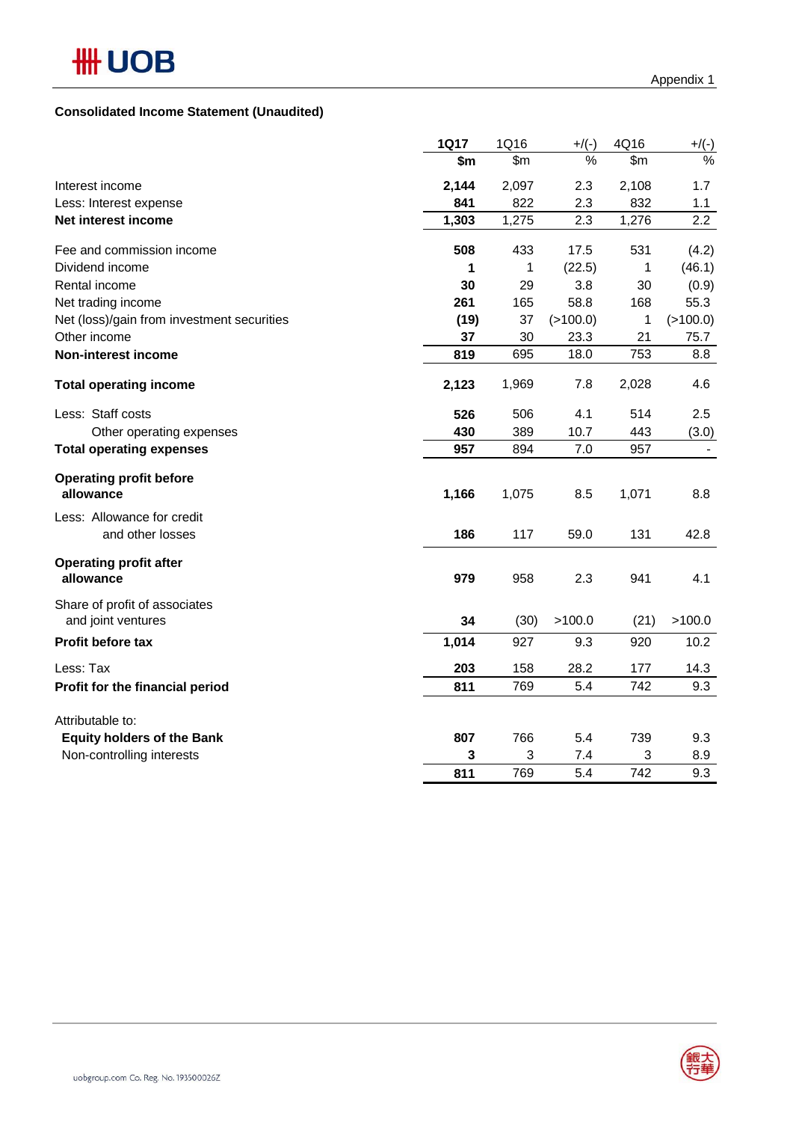|                                                     | 1Q17  | 1Q16  | $+$ /(-) | 4Q16  | $+/(-)$  |
|-----------------------------------------------------|-------|-------|----------|-------|----------|
|                                                     | \$m   | \$m\$ | %        | \$m\$ | $\%$     |
| Interest income                                     | 2,144 | 2,097 | 2.3      | 2,108 | 1.7      |
| Less: Interest expense                              | 841   | 822   | 2.3      | 832   | 1.1      |
| Net interest income                                 | 1,303 | 1,275 | 2.3      | 1,276 | 2.2      |
| Fee and commission income                           | 508   | 433   | 17.5     | 531   | (4.2)    |
| Dividend income                                     | 1     | 1     | (22.5)   | 1     | (46.1)   |
| Rental income                                       | 30    | 29    | 3.8      | 30    | (0.9)    |
| Net trading income                                  | 261   | 165   | 58.8     | 168   | 55.3     |
| Net (loss)/gain from investment securities          | (19)  | 37    | (>100.0) | 1     | (>100.0) |
| Other income                                        | 37    | 30    | 23.3     | 21    | 75.7     |
| <b>Non-interest income</b>                          | 819   | 695   | 18.0     | 753   | 8.8      |
| <b>Total operating income</b>                       | 2,123 | 1,969 | 7.8      | 2,028 | 4.6      |
| Less: Staff costs                                   | 526   | 506   | 4.1      | 514   | 2.5      |
| Other operating expenses                            | 430   | 389   | 10.7     | 443   | (3.0)    |
| <b>Total operating expenses</b>                     | 957   | 894   | 7.0      | 957   |          |
| <b>Operating profit before</b><br>allowance         | 1,166 | 1,075 | 8.5      | 1,071 | 8.8      |
| Less: Allowance for credit<br>and other losses      | 186   | 117   | 59.0     | 131   | 42.8     |
| <b>Operating profit after</b><br>allowance          | 979   | 958   | 2.3      | 941   | 4.1      |
| Share of profit of associates<br>and joint ventures | 34    | (30)  | >100.0   | (21)  | >100.0   |
| Profit before tax                                   | 1,014 | 927   | 9.3      | 920   | 10.2     |
| Less: Tax                                           | 203   | 158   | 28.2     | 177   | 14.3     |
| Profit for the financial period                     | 811   | 769   | 5.4      | 742   | 9.3      |
| Attributable to:                                    |       |       |          |       |          |
| <b>Equity holders of the Bank</b>                   | 807   | 766   | 5.4      | 739   | 9.3      |
| Non-controlling interests                           | 3     | 3     | 7.4      | 3     | 8.9      |
|                                                     | 811   | 769   | 5.4      | 742   | 9.3      |

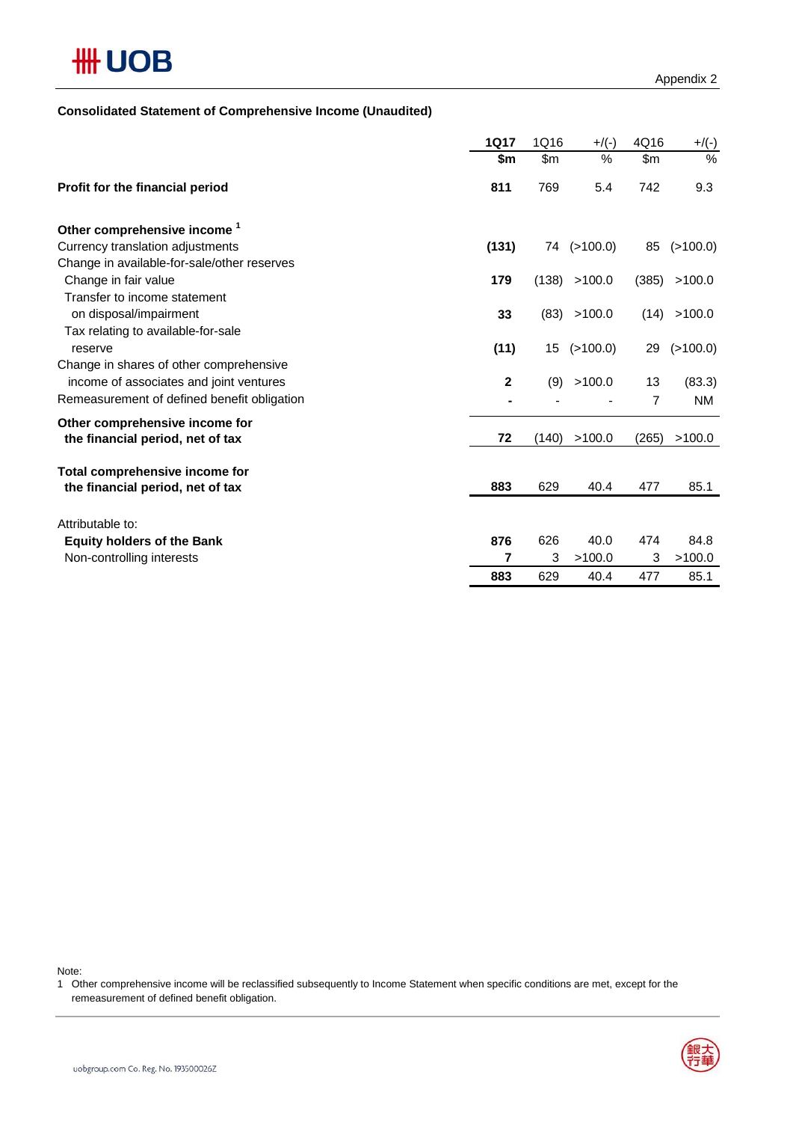

### **Consolidated Statement of Comprehensive Income (Unaudited)**

|                                                    | <b>1Q17</b>    | 1Q16  | $+$ /(-)          | 4Q16           | $+$ /(-)  |
|----------------------------------------------------|----------------|-------|-------------------|----------------|-----------|
|                                                    | \$m            | \$m\$ | %                 | \$m            | %         |
| Profit for the financial period                    | 811            | 769   | 5.4               | 742            | 9.3       |
| Other comprehensive income <sup>1</sup>            |                |       |                   |                |           |
| Currency translation adjustments                   | (131)          |       | 74 (>100.0)       | 85             | (>100.0)  |
| Change in available-for-sale/other reserves        |                |       |                   |                |           |
| Change in fair value                               | 179            | (138) | >100.0            | (385)          | >100.0    |
| Transfer to income statement                       |                |       |                   |                |           |
| on disposal/impairment                             | 33             | (83)  | >100.0            | (14)           | >100.0    |
| Tax relating to available-for-sale                 |                |       |                   |                |           |
| reserve<br>Change in shares of other comprehensive | (11)           |       | $15$ ( $>100.0$ ) | 29             | (>100.0)  |
| income of associates and joint ventures            | $\overline{2}$ | (9)   | >100.0            | 13             | (83.3)    |
| Remeasurement of defined benefit obligation        |                |       |                   | $\overline{7}$ | <b>NM</b> |
| Other comprehensive income for                     |                |       |                   |                |           |
| the financial period, net of tax                   | 72             | (140) | >100.0            | (265)          | >100.0    |
|                                                    |                |       |                   |                |           |
| Total comprehensive income for                     |                |       |                   |                |           |
| the financial period, net of tax                   | 883            | 629   | 40.4              | 477            | 85.1      |
| Attributable to:                                   |                |       |                   |                |           |
| <b>Equity holders of the Bank</b>                  | 876            | 626   | 40.0              | 474            | 84.8      |
| Non-controlling interests                          | 7              | 3     | >100.0            | 3              | >100.0    |
|                                                    | 883            | 629   | 40.4              | 477            | 85.1      |

Note:

1 Other comprehensive income will be reclassified subsequently to Income Statement when specific conditions are met, except for the remeasurement of defined benefit obligation.

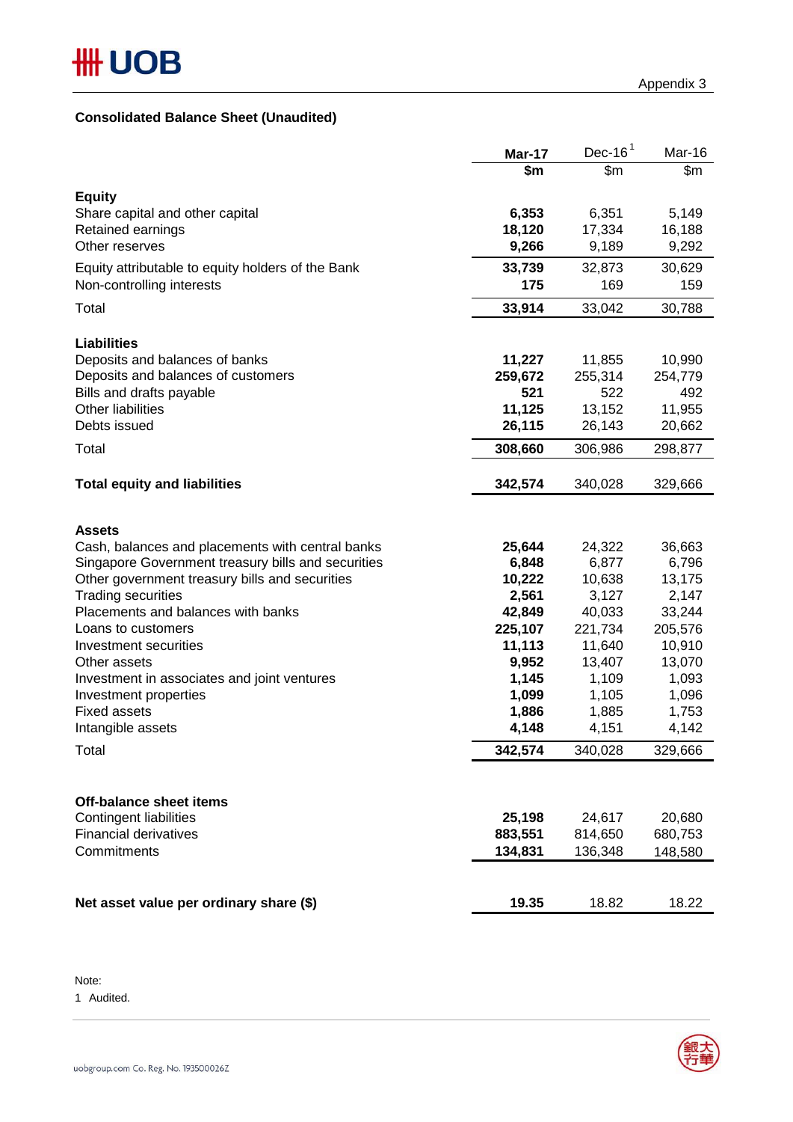## **Consolidated Balance Sheet (Unaudited)**

|                                                    | Mar-17  | Dec-16 $1$ | Mar-16  |
|----------------------------------------------------|---------|------------|---------|
|                                                    | \$m     | \$m\$      | \$m     |
| <b>Equity</b>                                      |         |            |         |
| Share capital and other capital                    | 6,353   | 6,351      | 5,149   |
| Retained earnings                                  | 18,120  | 17,334     | 16,188  |
| Other reserves                                     | 9,266   | 9,189      | 9,292   |
| Equity attributable to equity holders of the Bank  | 33,739  | 32,873     | 30,629  |
| Non-controlling interests                          | 175     | 169        | 159     |
| Total                                              | 33,914  | 33,042     | 30,788  |
|                                                    |         |            |         |
| <b>Liabilities</b>                                 |         |            |         |
| Deposits and balances of banks                     | 11,227  | 11,855     | 10,990  |
| Deposits and balances of customers                 | 259,672 | 255,314    | 254,779 |
| Bills and drafts payable                           | 521     | 522        | 492     |
| Other liabilities                                  | 11,125  | 13,152     | 11,955  |
| Debts issued                                       | 26,115  | 26,143     | 20,662  |
| Total                                              | 308,660 | 306,986    | 298,877 |
|                                                    |         |            |         |
| <b>Total equity and liabilities</b>                | 342,574 | 340,028    | 329,666 |
|                                                    |         |            |         |
| <b>Assets</b>                                      |         |            |         |
| Cash, balances and placements with central banks   | 25,644  | 24,322     | 36,663  |
| Singapore Government treasury bills and securities | 6,848   | 6,877      | 6,796   |
| Other government treasury bills and securities     | 10,222  | 10,638     | 13,175  |
| <b>Trading securities</b>                          | 2,561   | 3,127      | 2,147   |
| Placements and balances with banks                 | 42,849  | 40,033     | 33,244  |
| Loans to customers                                 | 225,107 | 221,734    | 205,576 |
| Investment securities                              | 11,113  | 11,640     | 10,910  |
| Other assets                                       | 9,952   | 13,407     | 13,070  |
| Investment in associates and joint ventures        | 1,145   | 1,109      | 1,093   |
| Investment properties                              | 1,099   | 1,105      | 1,096   |
| <b>Fixed assets</b>                                | 1,886   | 1,885      | 1,753   |
| Intangible assets                                  | 4,148   | 4,151      | 4,142   |
| Total                                              | 342,574 | 340,028    | 329,666 |
|                                                    |         |            |         |
|                                                    |         |            |         |
| <b>Off-balance sheet items</b>                     |         |            |         |
| <b>Contingent liabilities</b>                      | 25,198  | 24,617     | 20,680  |
| <b>Financial derivatives</b>                       | 883,551 | 814,650    | 680,753 |
| Commitments                                        | 134,831 | 136,348    | 148,580 |
|                                                    |         |            |         |
|                                                    |         |            |         |
| Net asset value per ordinary share (\$)            | 19.35   | 18.82      | 18.22   |

Note:

1 Audited.

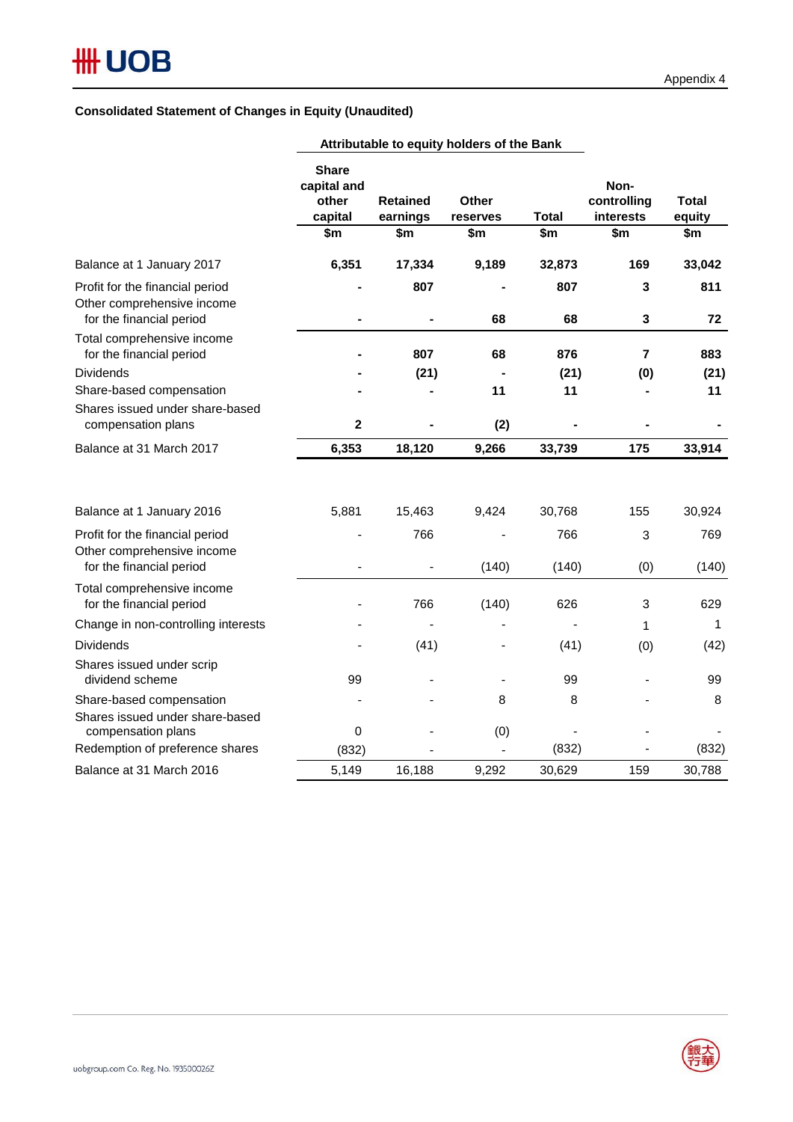### **Consolidated Statement of Changes in Equity (Unaudited)**

|                                                                                           | <b>Share</b><br>capital and<br>other<br>capital<br>\$m | <b>Retained</b><br>earnings<br>\$m | Other<br>reserves<br>\$m | <b>Total</b><br>\$m | Non-<br>controlling<br>interests<br>\$m | <b>Total</b><br>equity<br>\$m |
|-------------------------------------------------------------------------------------------|--------------------------------------------------------|------------------------------------|--------------------------|---------------------|-----------------------------------------|-------------------------------|
| Balance at 1 January 2017                                                                 | 6,351                                                  | 17,334                             | 9,189                    | 32,873              | 169                                     | 33,042                        |
| Profit for the financial period<br>Other comprehensive income                             |                                                        | 807                                |                          | 807                 | 3                                       | 811                           |
| for the financial period<br>Total comprehensive income<br>for the financial period        |                                                        | 807                                | 68<br>68                 | 68<br>876           | 3<br>$\overline{7}$                     | 72<br>883                     |
| <b>Dividends</b>                                                                          |                                                        | (21)                               | $\blacksquare$           | (21)                | (0)                                     | (21)                          |
| Share-based compensation                                                                  |                                                        |                                    | 11                       | 11                  |                                         | 11                            |
| Shares issued under share-based<br>compensation plans                                     | $\mathbf{2}$                                           |                                    | (2)                      |                     |                                         |                               |
| Balance at 31 March 2017                                                                  | 6,353                                                  | 18,120                             | 9,266                    | 33,739              | 175                                     | 33,914                        |
| Balance at 1 January 2016                                                                 | 5,881                                                  | 15,463                             | 9,424                    | 30,768              | 155                                     | 30,924                        |
| Profit for the financial period<br>Other comprehensive income<br>for the financial period |                                                        | 766                                | (140)                    | 766<br>(140)        | 3<br>(0)                                | 769<br>(140)                  |
| Total comprehensive income<br>for the financial period                                    |                                                        | 766                                | (140)                    | 626                 | 3                                       | 629                           |
| Change in non-controlling interests                                                       |                                                        |                                    |                          |                     | 1                                       | 1                             |
| <b>Dividends</b>                                                                          |                                                        | (41)                               |                          | (41)                | (0)                                     | (42)                          |
| Shares issued under scrip<br>dividend scheme                                              | 99                                                     |                                    |                          | 99                  |                                         | 99                            |
| Share-based compensation<br>Shares issued under share-based<br>compensation plans         | $\mathbf 0$                                            |                                    | 8<br>(0)                 | 8                   |                                         | 8                             |
| Redemption of preference shares                                                           | (832)                                                  |                                    |                          | (832)               |                                         | (832)                         |
| Balance at 31 March 2016                                                                  | 5,149                                                  | 16,188                             | 9,292                    | 30,629              | 159                                     | 30,788                        |

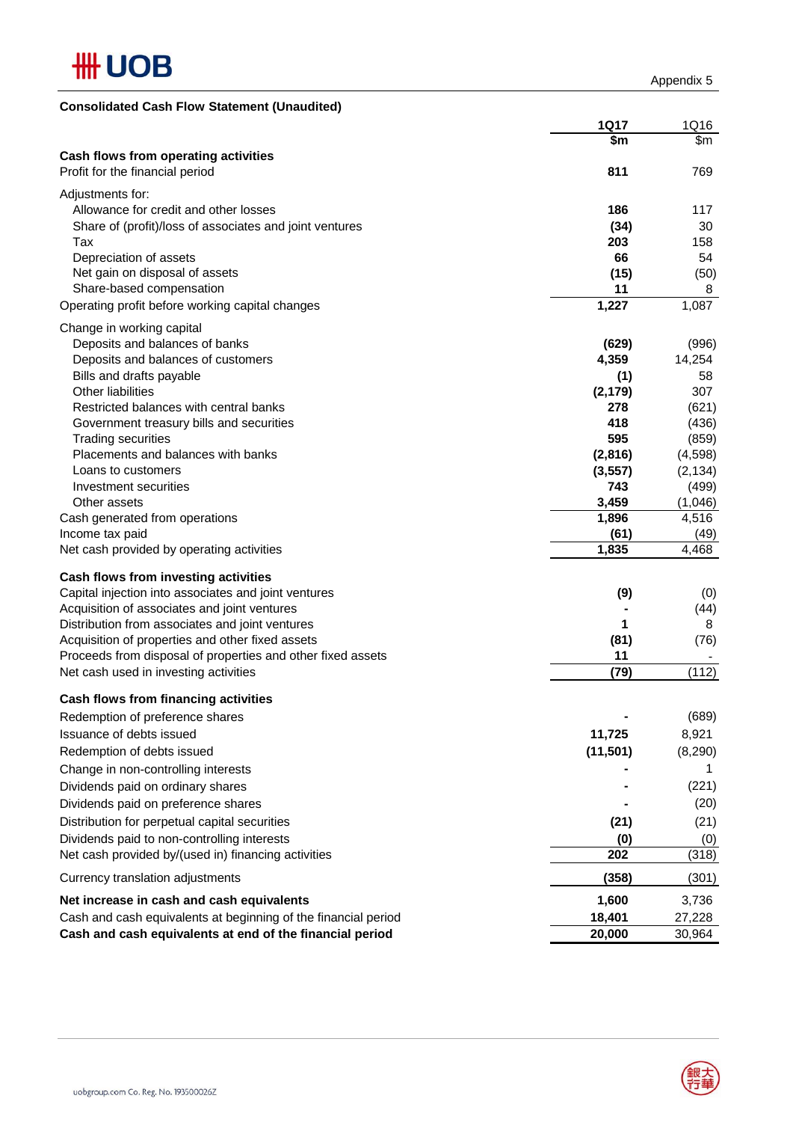

Appendix 5

| <b>Consolidated Cash Flow Statement (Unaudited)</b>            |             |          |
|----------------------------------------------------------------|-------------|----------|
|                                                                | <b>1Q17</b> | 1Q16     |
|                                                                | \$m         | \$m      |
| Cash flows from operating activities                           |             |          |
| Profit for the financial period                                | 811         | 769      |
| Adjustments for:                                               |             |          |
| Allowance for credit and other losses                          | 186         | 117      |
| Share of (profit)/loss of associates and joint ventures        | (34)        | 30       |
| Tax                                                            | 203         | 158      |
| Depreciation of assets                                         | 66          | 54       |
| Net gain on disposal of assets                                 | (15)        | (50)     |
| Share-based compensation                                       | 11          | 8        |
| Operating profit before working capital changes                | 1,227       | 1,087    |
| Change in working capital                                      |             |          |
| Deposits and balances of banks                                 | (629)       | (996)    |
| Deposits and balances of customers                             | 4,359       | 14,254   |
| Bills and drafts payable                                       | (1)         | 58       |
| <b>Other liabilities</b>                                       | (2, 179)    | 307      |
| Restricted balances with central banks                         | 278         | (621)    |
| Government treasury bills and securities                       | 418         | (436)    |
| <b>Trading securities</b>                                      | 595         | (859)    |
| Placements and balances with banks                             | (2,816)     | (4, 598) |
| Loans to customers                                             | (3, 557)    | (2, 134) |
| Investment securities                                          | 743         | (499)    |
| Other assets                                                   | 3,459       | (1,046)  |
| Cash generated from operations                                 | 1,896       | 4,516    |
| Income tax paid                                                | (61)        | (49)     |
| Net cash provided by operating activities                      | 1,835       | 4,468    |
| Cash flows from investing activities                           |             |          |
| Capital injection into associates and joint ventures           | (9)         | (0)      |
| Acquisition of associates and joint ventures                   |             | (44)     |
| Distribution from associates and joint ventures                | 1           | 8        |
| Acquisition of properties and other fixed assets               | (81)        | (76)     |
| Proceeds from disposal of properties and other fixed assets    | 11          |          |
| Net cash used in investing activities                          | (79)        | (112)    |
| Cash flows from financing activities                           |             |          |
| Redemption of preference shares                                |             | (689)    |
| Issuance of debts issued                                       | 11,725      | 8,921    |
| Redemption of debts issued                                     | (11, 501)   | (8, 290) |
| Change in non-controlling interests                            |             | 1.       |
| Dividends paid on ordinary shares                              |             | (221)    |
| Dividends paid on preference shares                            |             | (20)     |
| Distribution for perpetual capital securities                  | (21)        | (21)     |
| Dividends paid to non-controlling interests                    | (0)         | (0)      |
| Net cash provided by/(used in) financing activities            | 202         | (318)    |
| Currency translation adjustments                               | (358)       | (301)    |
| Net increase in cash and cash equivalents                      | 1,600       | 3,736    |
| Cash and cash equivalents at beginning of the financial period | 18,401      | 27,228   |
| Cash and cash equivalents at end of the financial period       | 20,000      | 30,964   |

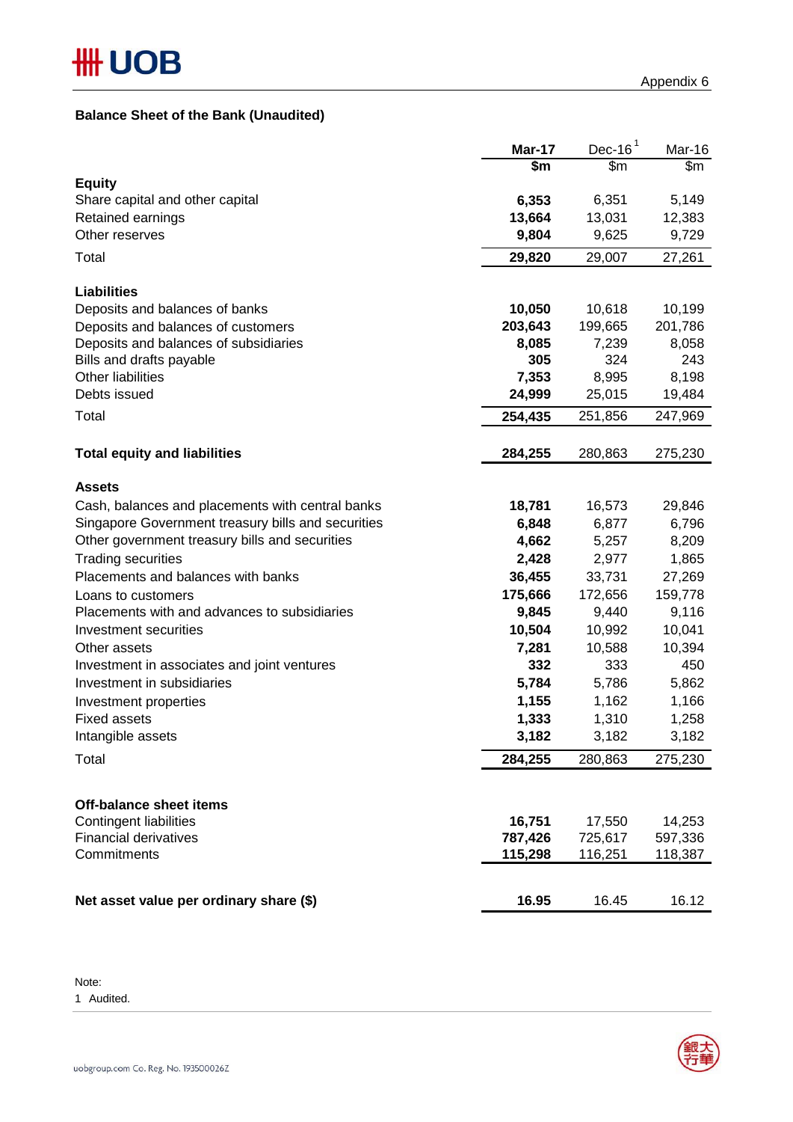## **Balance Sheet of the Bank (Unaudited)**

|                                                    | <b>Mar-17</b> | $Dec-161$ | Mar-16  |
|----------------------------------------------------|---------------|-----------|---------|
|                                                    | \$m           | \$m\$     | \$m     |
| <b>Equity</b>                                      |               |           |         |
| Share capital and other capital                    | 6,353         | 6,351     | 5,149   |
| Retained earnings                                  | 13,664        | 13,031    | 12,383  |
| Other reserves                                     | 9,804         | 9,625     | 9,729   |
| Total                                              | 29,820        | 29,007    | 27,261  |
| <b>Liabilities</b>                                 |               |           |         |
| Deposits and balances of banks                     | 10,050        | 10,618    | 10,199  |
| Deposits and balances of customers                 | 203,643       | 199,665   | 201,786 |
| Deposits and balances of subsidiaries              | 8,085         | 7,239     | 8,058   |
| Bills and drafts payable                           | 305           | 324       | 243     |
| Other liabilities                                  | 7,353         | 8,995     | 8,198   |
| Debts issued                                       | 24,999        | 25,015    | 19,484  |
| Total                                              | 254,435       | 251,856   | 247,969 |
| <b>Total equity and liabilities</b>                | 284,255       | 280,863   | 275,230 |
|                                                    |               |           |         |
| <b>Assets</b>                                      |               |           |         |
| Cash, balances and placements with central banks   | 18,781        | 16,573    | 29,846  |
| Singapore Government treasury bills and securities | 6,848         | 6,877     | 6,796   |
| Other government treasury bills and securities     | 4,662         | 5,257     | 8,209   |
| <b>Trading securities</b>                          | 2,428         | 2,977     | 1,865   |
| Placements and balances with banks                 | 36,455        | 33,731    | 27,269  |
| Loans to customers                                 | 175,666       | 172,656   | 159,778 |
| Placements with and advances to subsidiaries       | 9,845         | 9,440     | 9,116   |
| Investment securities                              | 10,504        | 10,992    | 10,041  |
| Other assets                                       | 7,281         | 10,588    | 10,394  |
| Investment in associates and joint ventures        | 332           | 333       | 450     |
| Investment in subsidiaries                         | 5,784         | 5,786     | 5,862   |
| Investment properties                              | 1,155         | 1,162     | 1,166   |
| <b>Fixed assets</b>                                | 1,333         | 1,310     | 1,258   |
| Intangible assets                                  | 3,182         | 3,182     | 3,182   |
| Total                                              | 284,255       | 280,863   | 275,230 |
|                                                    |               |           |         |
| <b>Off-balance sheet items</b>                     |               |           |         |
| <b>Contingent liabilities</b>                      | 16,751        | 17,550    | 14,253  |
| <b>Financial derivatives</b>                       | 787,426       | 725,617   | 597,336 |
| Commitments                                        | 115,298       | 116,251   | 118,387 |
| Net asset value per ordinary share (\$)            | 16.95         | 16.45     | 16.12   |
|                                                    |               |           |         |

Note:

1 Audited.

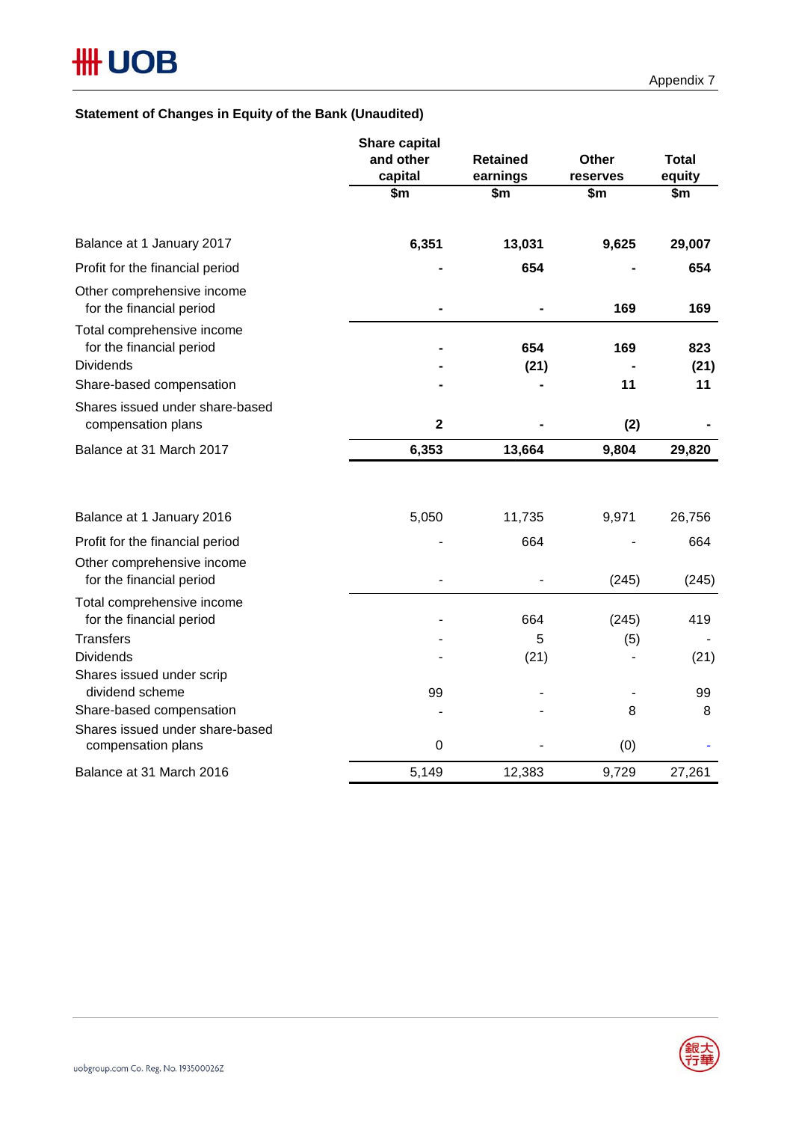## **Statement of Changes in Equity of the Bank (Unaudited)**

|                                                                            | and other<br>capital    | <b>Retained</b><br>earnings | <b>Other</b><br>reserves | <b>Total</b><br>equity |
|----------------------------------------------------------------------------|-------------------------|-----------------------------|--------------------------|------------------------|
|                                                                            | \$m                     | \$m                         | \$m\$                    | \$m                    |
| Balance at 1 January 2017                                                  | 6,351                   | 13,031                      | 9,625                    | 29,007                 |
| Profit for the financial period                                            |                         | 654                         |                          | 654                    |
| Other comprehensive income<br>for the financial period                     |                         |                             | 169                      | 169                    |
| Total comprehensive income<br>for the financial period<br><b>Dividends</b> |                         | 654<br>(21)                 | 169                      | 823<br>(21)            |
| Share-based compensation                                                   |                         |                             | 11                       | 11                     |
| Shares issued under share-based<br>compensation plans                      | $\overline{\mathbf{2}}$ |                             | (2)                      |                        |
| Balance at 31 March 2017                                                   | 6,353                   | 13,664                      | 9,804                    | 29,820                 |
| Balance at 1 January 2016                                                  | 5,050                   | 11,735                      | 9,971                    | 26,756                 |
| Profit for the financial period                                            |                         | 664                         |                          | 664                    |
| Other comprehensive income<br>for the financial period                     |                         |                             | (245)                    | (245)                  |
| Total comprehensive income<br>for the financial period                     |                         | 664                         | (245)                    | 419                    |
| <b>Transfers</b>                                                           |                         | 5                           | (5)                      |                        |
| <b>Dividends</b>                                                           |                         | (21)                        |                          | (21)                   |
| Shares issued under scrip<br>dividend scheme                               | 99                      |                             |                          | 99                     |
| Share-based compensation                                                   |                         |                             | 8                        | 8                      |
| Shares issued under share-based<br>compensation plans                      | $\mathbf 0$             |                             | (0)                      |                        |
| Balance at 31 March 2016                                                   | 5,149                   | 12,383                      | 9,729                    | 27,261                 |